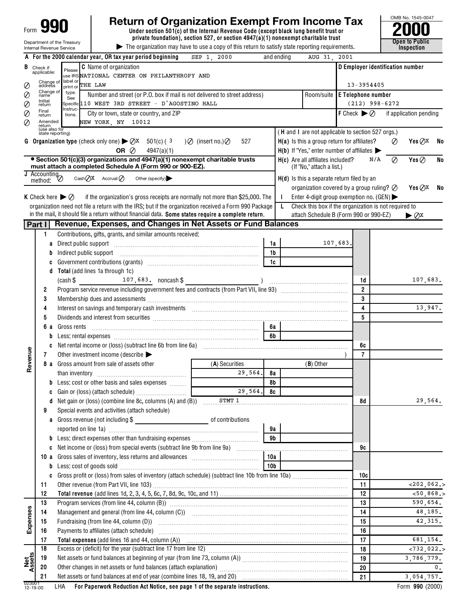|                    |                                                                                                                   | <b>Return of Organization Exempt From Income Tax</b>                                                                                                                                                                           |                  |                |    |                                                                   |          |                                              |                                  |            | OMB No. 1545-0047               |                |
|--------------------|-------------------------------------------------------------------------------------------------------------------|--------------------------------------------------------------------------------------------------------------------------------------------------------------------------------------------------------------------------------|------------------|----------------|----|-------------------------------------------------------------------|----------|----------------------------------------------|----------------------------------|------------|---------------------------------|----------------|
| Form               |                                                                                                                   | Under section 501(c) of the Internal Revenue Code (except black lung benefit trust or                                                                                                                                          |                  |                |    |                                                                   |          |                                              |                                  |            |                                 |                |
|                    |                                                                                                                   | private foundation), section 527, or section $4947(a)(1)$ nonexempt charitable trust<br>Department of the Treasury                                                                                                             |                  |                |    |                                                                   |          |                                              |                                  |            | Open to Public                  |                |
|                    |                                                                                                                   | The organization may have to use a copy of this return to satisfy state reporting requirements.<br>Internal Revenue Service                                                                                                    |                  |                |    |                                                                   |          |                                              |                                  |            | Inspection                      |                |
|                    |                                                                                                                   | A For the 2000 calendar year, OR tax year period beginning<br>SEP 1, 2000                                                                                                                                                      |                  | and ending     |    | AUG 31                                                            | 2001     |                                              |                                  |            |                                 |                |
|                    | <b>B</b> Check if applicable:                                                                                     | <b>C</b> Name of organization<br>Please                                                                                                                                                                                        |                  |                |    |                                                                   |          |                                              | D Employer identification number |            |                                 |                |
|                    | Change of                                                                                                         | use IRS NATIONAL CENTER ON PHILANTHROPY AND<br>label or                                                                                                                                                                        |                  |                |    |                                                                   |          |                                              |                                  |            |                                 |                |
|                    | address<br>Change of                                                                                              | print or THE LAW                                                                                                                                                                                                               |                  |                |    |                                                                   |          | 13-3954405                                   |                                  |            |                                 |                |
|                    | name<br>Initial                                                                                                   | type.<br>Room/suite E Telephone number<br>Number and street (or P.O. box if mail is not delivered to street address)<br>See                                                                                                    |                  |                |    |                                                                   |          |                                              |                                  |            |                                 |                |
| Ø                  | return                                                                                                            | Specific 110 WEST 3RD STREET - D'AGOSTINO HALL<br>Instruc-                                                                                                                                                                     |                  |                |    |                                                                   |          |                                              | $(212)$ 998-6272                 |            |                                 |                |
| Ø                  | Final<br>return                                                                                                   | City or town, state or country, and ZIP<br>tions.                                                                                                                                                                              |                  |                |    |                                                                   |          | <b>F</b> Check $\blacktriangleright \oslash$ |                                  |            | if application pending          |                |
| Ø                  | Amended<br>return                                                                                                 | NEW YORK, NY 10012                                                                                                                                                                                                             |                  |                |    |                                                                   |          |                                              |                                  |            |                                 |                |
|                    |                                                                                                                   | (use also for<br>state reporting)                                                                                                                                                                                              |                  |                |    | (H and I are not applicable to section 527 orgs.)                 |          |                                              |                                  |            |                                 |                |
|                    |                                                                                                                   | <b>G</b> Organization type (check only one) $\triangleright \bigcirc X$ 501(c) (3<br>$)$ $\oslash$ (insert no.) $\oslash$                                                                                                      | 527              |                |    | H(a) Is this a group return for affiliates?                       |          |                                              |                                  | $\oslash$  | Yes $QX$                        | - No           |
|                    |                                                                                                                   | OR $\oslash$<br>4947(a)(1)                                                                                                                                                                                                     |                  |                |    | $H(b)$ If "Yes," enter number of affiliates $\blacktriangleright$ |          |                                              |                                  |            |                                 |                |
|                    |                                                                                                                   | • Section 501(c)(3) organizations and 4947(a)(1) nonexempt charitable trusts<br>must attach a completed Schedule A (Form 990 or 900-EZ).                                                                                       |                  |                |    | H(c) Are all affiliates included?<br>(If "No," attach a list.)    |          |                                              | N/A                              | Ø          | Yes $\oslash$                   | No             |
|                    | $\frac{1}{\sqrt{1-\frac{1}{2}}\sqrt{1-\frac{1}{2}}\sqrt{1-\frac{1}{2}}\sqrt{1-\frac{1}{2}}\sqrt{1-\frac{1}{2}}}}$ |                                                                                                                                                                                                                                |                  |                |    |                                                                   |          |                                              |                                  |            |                                 |                |
|                    | method:                                                                                                           | Cash $QX$ Accrual $Q$<br>Other (specify)                                                                                                                                                                                       |                  |                |    | $H(d)$ is this a separate return filed by an                      |          |                                              |                                  |            |                                 |                |
|                    |                                                                                                                   |                                                                                                                                                                                                                                |                  |                |    | organization covered by a group ruling? $\oslash$                 |          |                                              |                                  |            | Yes $QX$                        | - No           |
|                    |                                                                                                                   | <b>K</b> Check here $\triangleright \oslash$<br>if the organization's gross receipts are normally not more than \$25,000. The                                                                                                  |                  |                |    | Enter 4-digit group exemption no. (GEN) $\blacktriangleright$     |          |                                              |                                  |            |                                 |                |
|                    |                                                                                                                   | organization need not file a return with the IRS; but if the organization received a Form 990 Package<br>in the mail, it should file a return without financial data. Some states require a complete return.                   |                  |                | L. | Check this box if the organization is not required to             |          |                                              |                                  |            |                                 |                |
|                    |                                                                                                                   |                                                                                                                                                                                                                                |                  |                |    | attach Schedule B (Form 990 or 990-EZ)                            |          |                                              |                                  |            | $\blacktriangleright \oslash x$ |                |
|                    | Part I                                                                                                            | Revenue, Expenses, and Changes in Net Assets or Fund Balances                                                                                                                                                                  |                  |                |    |                                                                   |          |                                              |                                  |            |                                 |                |
|                    | 1                                                                                                                 | Contributions, gifts, grants, and similar amounts received:                                                                                                                                                                    |                  |                |    |                                                                   |          |                                              |                                  |            |                                 |                |
|                    | a                                                                                                                 | Direct public support manufactured and contact the support                                                                                                                                                                     |                  | 1a             |    |                                                                   | 107,683. |                                              |                                  |            |                                 |                |
|                    | b                                                                                                                 | Indirect public support                                                                                                                                                                                                        |                  | 1 <sub>b</sub> |    |                                                                   |          |                                              |                                  |            |                                 |                |
|                    |                                                                                                                   |                                                                                                                                                                                                                                |                  | 1c             |    |                                                                   |          |                                              |                                  |            |                                 |                |
|                    | d                                                                                                                 | Total (add lines 1a through 1c)                                                                                                                                                                                                |                  |                |    |                                                                   |          |                                              |                                  |            |                                 |                |
|                    |                                                                                                                   | $107,683.$ noncash \$<br>$(cash$ \$                                                                                                                                                                                            |                  |                |    |                                                                   |          | 1d                                           |                                  |            | 107,683.                        |                |
|                    | 2                                                                                                                 |                                                                                                                                                                                                                                |                  |                |    |                                                                   |          | $\overline{2}$                               |                                  |            |                                 |                |
|                    | 3                                                                                                                 |                                                                                                                                                                                                                                |                  |                |    |                                                                   |          | 3                                            |                                  |            |                                 |                |
|                    | 4                                                                                                                 | Interest on savings and temporary cash investments [11] matter contains an interest on savings and temporary cash investments [11] matter contains and temporary cash investments [11] matter contains and temporary cash inve |                  |                |    |                                                                   |          | 4                                            |                                  |            | 13,947.                         |                |
|                    | 5                                                                                                                 | Dividends and interest from securities [111] matter contracts and interest in the security of the security of the securities and interest from securities [11] matter contracts and interest from securities [11] matter contr |                  |                |    |                                                                   |          | 5                                            |                                  |            |                                 |                |
|                    | 6а                                                                                                                | Gross rents                                                                                                                                                                                                                    |                  | 6а             |    |                                                                   |          |                                              |                                  |            |                                 |                |
|                    | b                                                                                                                 |                                                                                                                                                                                                                                |                  | 6b             |    |                                                                   |          |                                              |                                  |            |                                 |                |
|                    |                                                                                                                   |                                                                                                                                                                                                                                |                  |                |    |                                                                   |          | 6c                                           |                                  |            |                                 |                |
| enue               | 7                                                                                                                 | Other investment income (describe $\blacktriangleright$                                                                                                                                                                        |                  |                |    |                                                                   |          | $\overline{7}$                               |                                  |            |                                 |                |
| Re                 |                                                                                                                   | 8 a Gross amount from sale of assets other                                                                                                                                                                                     | (A) Securities   |                |    | $(B)$ Other                                                       |          |                                              |                                  |            |                                 |                |
|                    |                                                                                                                   | than inventory                                                                                                                                                                                                                 | 29,564           | 8a             |    |                                                                   |          |                                              |                                  |            |                                 |                |
|                    |                                                                                                                   | <b>b</b> Less: cost or other basis and sales expenses                                                                                                                                                                          |                  | 8b             |    |                                                                   |          |                                              |                                  |            |                                 |                |
|                    |                                                                                                                   |                                                                                                                                                                                                                                | 29,564.          | 8c             |    |                                                                   |          |                                              |                                  |            |                                 |                |
|                    |                                                                                                                   | <b>d</b> Net gain or (loss) (combine line 8c, columns $(A)$ and $(B)$ ) $\ldots$ $STMT 1$                                                                                                                                      |                  |                |    |                                                                   |          | 8d                                           |                                  |            | 29,564.                         |                |
|                    | 9                                                                                                                 | Special events and activities (attach schedule)                                                                                                                                                                                |                  |                |    |                                                                   |          |                                              |                                  |            |                                 |                |
|                    |                                                                                                                   | a Gross revenue (not including \$                                                                                                                                                                                              | of contributions |                |    |                                                                   |          |                                              |                                  |            |                                 |                |
|                    |                                                                                                                   |                                                                                                                                                                                                                                |                  | 9а             |    |                                                                   |          |                                              |                                  |            |                                 |                |
|                    |                                                                                                                   |                                                                                                                                                                                                                                |                  | 9 <sub>b</sub> |    |                                                                   |          |                                              |                                  |            |                                 |                |
|                    |                                                                                                                   |                                                                                                                                                                                                                                |                  |                |    |                                                                   |          | 9c                                           |                                  |            |                                 |                |
|                    |                                                                                                                   |                                                                                                                                                                                                                                |                  | 10a            |    |                                                                   |          |                                              |                                  |            |                                 |                |
|                    | b                                                                                                                 |                                                                                                                                                                                                                                |                  | 10b            |    |                                                                   |          |                                              |                                  |            |                                 |                |
|                    | C                                                                                                                 |                                                                                                                                                                                                                                |                  |                |    |                                                                   |          | 10с                                          |                                  |            |                                 |                |
|                    | 11                                                                                                                |                                                                                                                                                                                                                                |                  |                |    |                                                                   |          | 11                                           |                                  |            | $<$ 202,062.>                   |                |
|                    | 12                                                                                                                |                                                                                                                                                                                                                                |                  |                |    |                                                                   |          | 12<br>13                                     |                                  |            | $<$ 50, 868.>                   |                |
|                    | 13                                                                                                                |                                                                                                                                                                                                                                |                  |                |    |                                                                   |          |                                              |                                  |            | 590,654.                        |                |
| Expenses           | 14                                                                                                                |                                                                                                                                                                                                                                |                  |                |    |                                                                   |          | 14                                           |                                  |            | 48,185.                         |                |
|                    | 15                                                                                                                | Fundraising (from line 44, column (D))                                                                                                                                                                                         |                  |                |    |                                                                   |          | 15                                           |                                  |            | 42,315.                         |                |
|                    | 16                                                                                                                | Payments to affiliates (attach schedule) manufactured and according to a filial control of the schedule of the                                                                                                                 |                  |                |    |                                                                   |          | 16                                           |                                  |            |                                 |                |
|                    | 17                                                                                                                |                                                                                                                                                                                                                                |                  |                |    |                                                                   |          | 17                                           |                                  |            | 681,154.                        |                |
|                    | 18                                                                                                                |                                                                                                                                                                                                                                |                  |                |    |                                                                   |          | 18                                           |                                  |            | < 732, 022.                     |                |
| Net<br>ssets       | 19                                                                                                                |                                                                                                                                                                                                                                |                  |                |    |                                                                   | 19       |                                              |                                  | 3,786,779. |                                 |                |
|                    | 20                                                                                                                |                                                                                                                                                                                                                                |                  |                |    |                                                                   |          | 20                                           |                                  |            |                                 | $\mathbf{0}$ . |
|                    | 21                                                                                                                |                                                                                                                                                                                                                                |                  |                |    |                                                                   |          | 21                                           |                                  |            | 3,054,757.                      |                |
| 023001<br>12-19-00 |                                                                                                                   | For Paperwork Reduction Act Notice, see page 1 of the separate instructions.<br>LHA                                                                                                                                            |                  |                |    |                                                                   |          |                                              |                                  |            | Form 990 (2000)                 |                |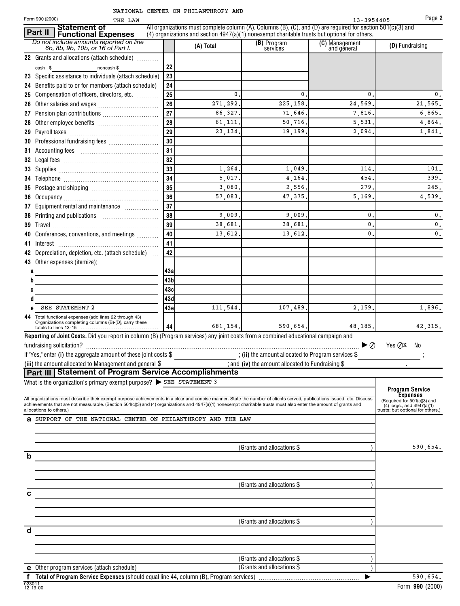|  | NATIONAL CENTER ON PHILANTHROPY AND |  |
|--|-------------------------------------|--|
|  |                                     |  |

| Form 990 (2000)<br>THE LAW                                                                                                                                                                                                                                                                                                                   |            |                     |                                                                                                                                                                                                                     | 13-3954405                    | Page 2                                                       |
|----------------------------------------------------------------------------------------------------------------------------------------------------------------------------------------------------------------------------------------------------------------------------------------------------------------------------------------------|------------|---------------------|---------------------------------------------------------------------------------------------------------------------------------------------------------------------------------------------------------------------|-------------------------------|--------------------------------------------------------------|
| <b>Statement of</b><br>Part II<br>Functional Expenses                                                                                                                                                                                                                                                                                        |            |                     | All organizations must complete column (A). Columns (B), (C), and (D) are required for section $501(c)(3)$ and<br>$(4)$ organizations and section $4947(a)(1)$ nonexempt charitable trusts but optional for others. |                               |                                                              |
| Do not include amounts reported on line<br>6b, 8b, 9b, 10b, or 16 of Part I.                                                                                                                                                                                                                                                                 |            | (A) Total           | (B) Program<br>services                                                                                                                                                                                             | (C) Management<br>and general | (D) Fundraising                                              |
| 22 Grants and allocations (attach schedule)                                                                                                                                                                                                                                                                                                  |            |                     |                                                                                                                                                                                                                     |                               |                                                              |
| noncash \$<br>cash \$                                                                                                                                                                                                                                                                                                                        | 22         |                     |                                                                                                                                                                                                                     |                               |                                                              |
| 23 Specific assistance to individuals (attach schedule)                                                                                                                                                                                                                                                                                      | 23         |                     |                                                                                                                                                                                                                     |                               |                                                              |
| 24 Benefits paid to or for members (attach schedule)                                                                                                                                                                                                                                                                                         | 24         |                     |                                                                                                                                                                                                                     |                               |                                                              |
| 25 Compensation of officers, directors, etc.                                                                                                                                                                                                                                                                                                 | 25         | 0.                  | 0                                                                                                                                                                                                                   | 0                             | 0.                                                           |
| 26                                                                                                                                                                                                                                                                                                                                           | 26<br>27   | 271,292.<br>86,327. | 225, 158,<br>71,646.                                                                                                                                                                                                | 24,569<br>7,816               | 21,565.<br>6,865.                                            |
|                                                                                                                                                                                                                                                                                                                                              | 28         | 61,111.             | 50,716.                                                                                                                                                                                                             | 5,531                         | 4.864.                                                       |
|                                                                                                                                                                                                                                                                                                                                              | 29         | 23, 134.            | 19,199                                                                                                                                                                                                              | 2,094                         | 1,841.                                                       |
|                                                                                                                                                                                                                                                                                                                                              | 30         |                     |                                                                                                                                                                                                                     |                               |                                                              |
|                                                                                                                                                                                                                                                                                                                                              | 31         |                     |                                                                                                                                                                                                                     |                               |                                                              |
|                                                                                                                                                                                                                                                                                                                                              | 32         |                     |                                                                                                                                                                                                                     |                               |                                                              |
|                                                                                                                                                                                                                                                                                                                                              | 33         | 1,264.              | 1,049.                                                                                                                                                                                                              | 114                           | 101.                                                         |
|                                                                                                                                                                                                                                                                                                                                              | 34         | 5,017.              | 4.164.                                                                                                                                                                                                              | 454                           | 399.                                                         |
|                                                                                                                                                                                                                                                                                                                                              | 35         | 3,080.              | 2,556.                                                                                                                                                                                                              | 279                           | 245.                                                         |
|                                                                                                                                                                                                                                                                                                                                              | 36         | 57,083.             | 47,375.                                                                                                                                                                                                             | 5,169                         | 4,539.                                                       |
| 37 Equipment rental and maintenance                                                                                                                                                                                                                                                                                                          | 37         |                     |                                                                                                                                                                                                                     |                               |                                                              |
|                                                                                                                                                                                                                                                                                                                                              | 38         | 9,009.              | 9,009.                                                                                                                                                                                                              | 0                             | $\mathfrak{o}$ .                                             |
|                                                                                                                                                                                                                                                                                                                                              | 39         | 38,681.             | 38,681.                                                                                                                                                                                                             | 0                             | $\mathbf{0}$ .                                               |
| 40 Conferences, conventions, and meetings                                                                                                                                                                                                                                                                                                    | 40         | 13,612.             | 13,612                                                                                                                                                                                                              | 0                             | 0.                                                           |
|                                                                                                                                                                                                                                                                                                                                              | 41         |                     |                                                                                                                                                                                                                     |                               |                                                              |
| 42 Depreciation, depletion, etc. (attach schedule)                                                                                                                                                                                                                                                                                           | 42         |                     |                                                                                                                                                                                                                     |                               |                                                              |
| 43 Other expenses (itemize):                                                                                                                                                                                                                                                                                                                 |            |                     |                                                                                                                                                                                                                     |                               |                                                              |
|                                                                                                                                                                                                                                                                                                                                              | 43a<br>43b |                     |                                                                                                                                                                                                                     |                               |                                                              |
|                                                                                                                                                                                                                                                                                                                                              | 43с        |                     |                                                                                                                                                                                                                     |                               |                                                              |
|                                                                                                                                                                                                                                                                                                                                              | 43d        |                     |                                                                                                                                                                                                                     |                               |                                                              |
| SEE STATEMENT 2                                                                                                                                                                                                                                                                                                                              | 43e        | 111,544.            | 107,489.                                                                                                                                                                                                            | 2,159.                        | 1,896.                                                       |
| 44 Total functional expenses (add lines 22 through 43)<br>Organizations completing columns (B)-(D), carry these                                                                                                                                                                                                                              | 44         | 681,154.            | 590,654                                                                                                                                                                                                             | 48,185.                       | 42, 315.                                                     |
| Reporting of Joint Costs. Did you report in column (B) (Program services) any joint costs from a combined educational campaign and                                                                                                                                                                                                           |            |                     |                                                                                                                                                                                                                     |                               |                                                              |
|                                                                                                                                                                                                                                                                                                                                              |            |                     |                                                                                                                                                                                                                     | ▶⊘                            | Yes $QX$ No                                                  |
| If "Yes," enter (i) the aggregate amount of these joint costs \$ _____________________; (ii) the amount allocated to Program services \$                                                                                                                                                                                                     |            |                     |                                                                                                                                                                                                                     |                               |                                                              |
| (iii) the amount allocated to Management and general \$                                                                                                                                                                                                                                                                                      |            |                     | $\frac{1}{2}$ and (iv) the amount allocated to Fundraising \$                                                                                                                                                       |                               |                                                              |
| Part III Statement of Program Service Accomplishments                                                                                                                                                                                                                                                                                        |            |                     |                                                                                                                                                                                                                     |                               |                                                              |
| What is the organization's primary exempt purpose? > SEE STATEMENT 3                                                                                                                                                                                                                                                                         |            |                     |                                                                                                                                                                                                                     |                               |                                                              |
|                                                                                                                                                                                                                                                                                                                                              |            |                     |                                                                                                                                                                                                                     |                               | Program Service<br>Expenses                                  |
| All organizations must describe their exempt purpose achievements in a clear and concise manner. State the number of clients served, publications issued, etc. Discuss<br>achievements that are not measurable. (Section 501(c)(3) and (4) organizations and 4947(a)(1) nonexempt charitable trusts must also enter the amount of grants and |            |                     |                                                                                                                                                                                                                     |                               | (Required for 501(c)(3) and<br>$(4)$ orgs., and $4947(a)(1)$ |
| allocations to others.)                                                                                                                                                                                                                                                                                                                      |            |                     |                                                                                                                                                                                                                     |                               | trusts; but optional for others.)                            |
| <b>a</b> SUPPORT OF THE NATIONAL CENTER ON PHILANTHROPY AND THE LAW                                                                                                                                                                                                                                                                          |            |                     |                                                                                                                                                                                                                     |                               |                                                              |
|                                                                                                                                                                                                                                                                                                                                              |            |                     |                                                                                                                                                                                                                     |                               |                                                              |
|                                                                                                                                                                                                                                                                                                                                              |            |                     | (Grants and allocations \$)                                                                                                                                                                                         |                               | 590,654.                                                     |
| b                                                                                                                                                                                                                                                                                                                                            |            |                     |                                                                                                                                                                                                                     |                               |                                                              |
|                                                                                                                                                                                                                                                                                                                                              |            |                     |                                                                                                                                                                                                                     |                               |                                                              |
|                                                                                                                                                                                                                                                                                                                                              |            |                     |                                                                                                                                                                                                                     |                               |                                                              |
|                                                                                                                                                                                                                                                                                                                                              |            |                     | (Grants and allocations \$)                                                                                                                                                                                         |                               |                                                              |
|                                                                                                                                                                                                                                                                                                                                              |            |                     |                                                                                                                                                                                                                     |                               |                                                              |
|                                                                                                                                                                                                                                                                                                                                              |            |                     |                                                                                                                                                                                                                     |                               |                                                              |
|                                                                                                                                                                                                                                                                                                                                              |            |                     |                                                                                                                                                                                                                     |                               |                                                              |
|                                                                                                                                                                                                                                                                                                                                              |            |                     | (Grants and allocations \$)                                                                                                                                                                                         |                               |                                                              |
| d                                                                                                                                                                                                                                                                                                                                            |            |                     |                                                                                                                                                                                                                     |                               |                                                              |
|                                                                                                                                                                                                                                                                                                                                              |            |                     |                                                                                                                                                                                                                     |                               |                                                              |
|                                                                                                                                                                                                                                                                                                                                              |            |                     |                                                                                                                                                                                                                     |                               |                                                              |
|                                                                                                                                                                                                                                                                                                                                              |            |                     | (Grants and allocations \$                                                                                                                                                                                          |                               |                                                              |
| <b>e</b> Other program services (attach schedule)                                                                                                                                                                                                                                                                                            |            |                     | (Grants and allocations \$                                                                                                                                                                                          |                               |                                                              |
| f Total of Program Service Expenses (should equal line 44, column (B), Program services)<br>023011                                                                                                                                                                                                                                           |            |                     |                                                                                                                                                                                                                     | ▶                             | 590,654.<br>$Larm$ 000 (9000)                                |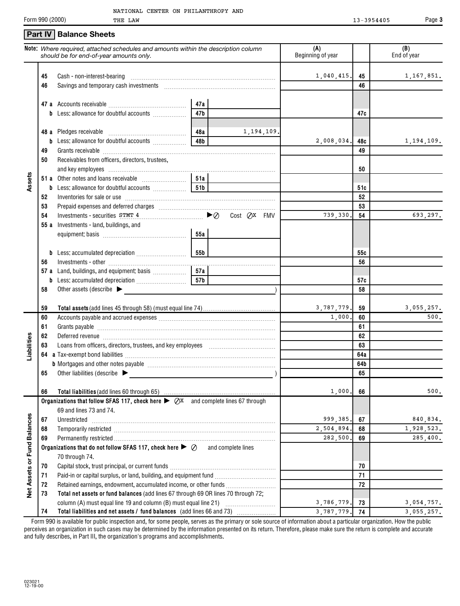#### THE LAW 13-3954405 Form 990 (2000) Page **3 Part IV** | Balance Sheets **Note:** *Where required, attached schedules and amounts within the description column* **(A) (B)** *should be for end-of-year amounts only.* Beginning of year  $\parallel$   $\parallel$  End of year 1,040,415, 45 1,167,851. **45** Cash - non-interest-bearing ~~~~~~~~~~~~~~~~~~~~~~~~~~ **45 46 46** Savings and temporary cash investments ~~~~~~~~~~~~~~~~~~~~ **47 a** Accounts receivable ~~~~~~~~~~~~~~ **47a 47b 47c b** Less: allowance for doubtful accounts .................. **48a** 1,194,109. **48** Pledges receivable **a** ……………………………………… **48b** 2,008,034**. 48c** 1,194,109 **48c b** Less: allowance for doubtful accounts  $\ldots$ **49** Grants receivable ~~~~~~~~~~~~~~~~~~~~~~~~~~~~~~~ **49 50** Receivables from officers, directors, trustees, and key employees **50 Assets 51a 51 a** Other notes and loans receivable  $\ldots$   $\ldots$   $\ldots$   $\ldots$ **51c b** Less: allowance for doubtful accounts  $\ldots$   $\ldots$  **51b 52** Inventories for sale or use ~~~~~~~~~~~~~~~~~~~~~~~~~~~ **52 53** Prepaid expenses and deferred charges ~~~~~~~~~~~~~~~~~~~~~ **53** Investments - securities  $STMT$  4<br>  $\blacktriangleright \oslash$  Cost  $\oslash x$  FMV **54**  $Cost$   $QX$   $FMV$   $739,330$   $54$   $693,297$ . **54 55 a** Investments - land, buildings, and equipment: basis ~~~~~~~~~~~~~~~ **55a 55b 55c b** Less: accumulated depreciation~~~~~~~~~ Investments - other ~~~~~~~~~~~~~~~~~~~~~~~~~~~~~~ **56 56 57a 57 a** Land, buildings, and equipment: basis  $\ldots$ Less: accumulated depreciation  $~\dots~$ **57b b 57c 58** Other assets (describe  $\blacktriangleright$ **58** 3,787,779. 3,055,257. **59 Total assets** (add lines 45 through 58) (must equal line 74) **59** 1,000. 500. **60 60** Accounts payable and accrued expenses ~~~~~~~~~~~~~~~~~~~~~ **61 61** Grants payable  $~\dots$   $~\dots$   $~\dots$   $~\dots$   $~\dots$   $~\dots$   $~\dots$   $~\dots$   $~\dots$   $~\dots$   $~\dots$   $~\dots$   $~\dots$ **62** Deferred revenue ~~~~~~~~~~~~~~~~~~~~~~~~~~~~~~~ **62 Liabilities** Loans from officers, directors, trustees, and key employees ~~~~~~~~~~~~ **63 63 64a 64 a** Tax-exempt bond liabilities ~~~~~~~~~~~~~~~~~~~~~~~~~~~ **64b b** Mortgages and other notes payable ~~~~~~~~~~~~~~~~~~~~~~~ Other liabilities (describe 9 ) **65 65** 1,000. 500. **66 Total liabilities** (add lines 60 through 65) **66 Organizations that follow SFAS 117, check here ▶ ⊘x** and complete lines 67 through 69 and lines 73 and 74. **Net Assets or Fund Balances Net Assets or Fund Balances** 999,385. 67 | 840,834 **67** Unrestricted ~~~~~~~~~~~~~~~~~~~~~~~~~~~~~~~~~ **67** 2,504,894. 1,928,523. **68 68** Temporarily restricted ~~~~~~~~~~~~~~~~~~~~~~~~~~~~~ 282,500. 285,400. **69 69** Permanently restricted **Organizations that do not follow SFAS 117, check here**  $\triangleright \varnothing$  and complete lines 70 through 74. **70 70** Capital stock, trust principal, or current funds **~~~~~~~~~~~~~~~~~~~ 71 71** Paid-in or capital surplus, or land, building, and equipment fund *...............................*... **72 72** Retained earnings, endowment, accumulated income, or other funds \_\_\_\_\_\_\_\_\_\_\_\_\_\_\_\_ **73 Total net assets or fund balances** (add lines 67 through 69 OR lines 70 through 72; column (A) must equal line 19 and column (B) must equal line 21) ~~~~~~~~~ 3,786,779. 73 3,054,757 **73** 3,787,779, 74 3,055,257. **74 74 Total liabilities and net assets / fund balances** (add lines 66 and 73)

Form 990 is available for public inspection and, for some people, serves as the primary or sole source of information about a particular organization. How the public perceives an organization in such cases may be determined by the information presented on its return. Therefore, please make sure the return is complete and accurate and fully describes, in Part III, the organization's programs and accomplishments.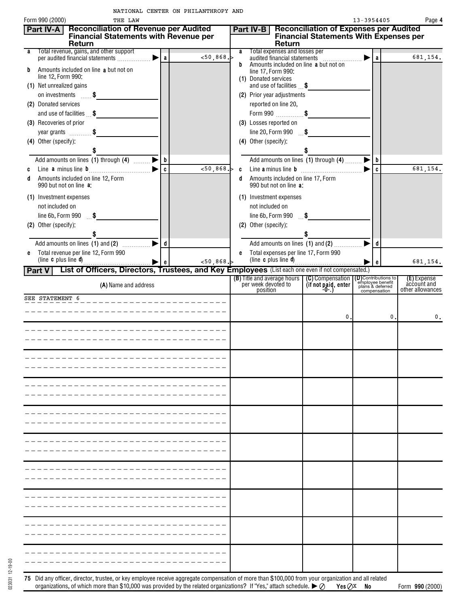| <b>Reconciliation of Revenue per Audited</b><br>Part IV-A<br><b>Financial Statements with Revenue per</b><br>Return |              |             |   | Part IV-B<br>Return                                           | <b>Reconciliation of Expenses per Audited</b><br><b>Financial Statements With Expenses per</b> |                       |                                                                   |                            |
|---------------------------------------------------------------------------------------------------------------------|--------------|-------------|---|---------------------------------------------------------------|------------------------------------------------------------------------------------------------|-----------------------|-------------------------------------------------------------------|----------------------------|
| Total revenue, gains, and other support<br>а                                                                        |              | $<$ 50,868. | a | Total expenses and losses per<br>audited financial statements |                                                                                                | ▶                     | a                                                                 | 681,154.                   |
| Amounts included on line a but not on<br>b                                                                          |              |             | b | Amounts included on line a but not on<br>line 17, Form 990:   |                                                                                                |                       |                                                                   |                            |
| line 12, Form 990:                                                                                                  |              |             |   | (1) Donated services                                          |                                                                                                |                       |                                                                   |                            |
| (1) Net unrealized gains<br>on investments \$                                                                       |              |             |   | and use of facilities \$                                      |                                                                                                |                       |                                                                   |                            |
| (2) Donated services                                                                                                |              |             |   | (2) Prior year adjustments<br>reported on line 20,            |                                                                                                |                       |                                                                   |                            |
| and use of facilities $\mathbf{\$}$                                                                                 |              |             |   | Form 990 $$                                                   |                                                                                                |                       |                                                                   |                            |
| (3) Recoveries of prior                                                                                             |              |             |   | (3) Losses reported on                                        |                                                                                                |                       |                                                                   |                            |
| year grants $\ldots$ , $\$\$                                                                                        |              |             |   | line 20, Form 990 $$ \$                                       |                                                                                                |                       |                                                                   |                            |
| (4) Other (specify):                                                                                                |              |             |   | (4) Other (specify):                                          |                                                                                                |                       |                                                                   |                            |
|                                                                                                                     |              |             |   |                                                               |                                                                                                |                       |                                                                   |                            |
| Add amounts on lines (1) through (4) _______                                                                        | b            |             |   | Add amounts on lines (1) through (4)                          |                                                                                                |                       | b                                                                 |                            |
| C                                                                                                                   | $\mathbf{c}$ | 50,868.     |   |                                                               |                                                                                                | ▶                     | c                                                                 | 681,154.                   |
| Amounts included on line 12, Form<br>d<br>990 but not on line a:                                                    |              |             |   | Amounts included on line 17, Form<br>990 but not on line a:   |                                                                                                |                       |                                                                   |                            |
|                                                                                                                     |              |             |   |                                                               |                                                                                                |                       |                                                                   |                            |
| (1) Investment expenses                                                                                             |              |             |   | (1) Investment expenses                                       |                                                                                                |                       |                                                                   |                            |
| not included on                                                                                                     |              |             |   | not included on                                               |                                                                                                |                       |                                                                   |                            |
| line 6b, Form $990$ \$                                                                                              |              |             |   | line 6b, Form $990$ \$                                        |                                                                                                |                       |                                                                   |                            |
| (2) Other (specify):                                                                                                |              |             |   | (2) Other (specify):                                          |                                                                                                |                       |                                                                   |                            |
|                                                                                                                     | d            |             |   | Add amounts on lines (1) and (2)                              |                                                                                                | $\blacktriangleright$ | d                                                                 |                            |
| Total revenue per line 12, Form 990<br>e                                                                            |              |             |   | e Total expenses per line 17, Form 990                        |                                                                                                |                       |                                                                   |                            |
| (line <b>c</b> plus line <b>d</b> )                                                                                 |              | 50,868.     |   | (line c plus line d)                                          |                                                                                                |                       | e                                                                 | 681,154.                   |
| List of Officers, Directors, Trustees, and Key Employees (List each one even if not compensated.)<br>Part V         |              |             |   |                                                               |                                                                                                |                       |                                                                   |                            |
| (A) Name and address                                                                                                |              |             |   | (B) Title and average hours                                   | (C) Compensation<br>$(\text{if not paid}, \text{enter})$                                       |                       | <b>D</b> Contributions to<br>employee benefit<br>plans & deferred | (E) Expense<br>account and |
|                                                                                                                     |              |             |   | per week devoted to<br>position                               |                                                                                                |                       | compensation                                                      | other allowances           |
| SEE STATEMENT 6                                                                                                     |              |             |   |                                                               |                                                                                                |                       |                                                                   |                            |
|                                                                                                                     |              |             |   |                                                               |                                                                                                |                       |                                                                   |                            |
|                                                                                                                     |              |             |   |                                                               | 0.                                                                                             |                       | 0.                                                                |                            |
|                                                                                                                     |              |             |   |                                                               |                                                                                                |                       |                                                                   |                            |
|                                                                                                                     |              |             |   |                                                               |                                                                                                |                       |                                                                   |                            |
|                                                                                                                     |              |             |   |                                                               |                                                                                                |                       |                                                                   |                            |
|                                                                                                                     |              |             |   |                                                               |                                                                                                |                       |                                                                   |                            |
|                                                                                                                     |              |             |   |                                                               |                                                                                                |                       |                                                                   |                            |
|                                                                                                                     |              |             |   |                                                               |                                                                                                |                       |                                                                   |                            |
|                                                                                                                     |              |             |   |                                                               |                                                                                                |                       |                                                                   |                            |
|                                                                                                                     |              |             |   |                                                               |                                                                                                |                       |                                                                   |                            |
|                                                                                                                     |              |             |   |                                                               |                                                                                                |                       |                                                                   |                            |
|                                                                                                                     |              |             |   |                                                               |                                                                                                |                       |                                                                   |                            |
|                                                                                                                     |              |             |   |                                                               |                                                                                                |                       |                                                                   |                            |
|                                                                                                                     |              |             |   |                                                               |                                                                                                |                       |                                                                   |                            |
|                                                                                                                     |              |             |   |                                                               |                                                                                                |                       |                                                                   |                            |
|                                                                                                                     |              |             |   |                                                               |                                                                                                |                       |                                                                   |                            |
|                                                                                                                     |              |             |   |                                                               |                                                                                                |                       |                                                                   |                            |
|                                                                                                                     |              |             |   |                                                               |                                                                                                |                       |                                                                   |                            |
|                                                                                                                     |              |             |   |                                                               |                                                                                                |                       |                                                                   |                            |
|                                                                                                                     |              |             |   |                                                               |                                                                                                |                       |                                                                   |                            |
|                                                                                                                     |              |             |   |                                                               |                                                                                                |                       |                                                                   |                            |
|                                                                                                                     |              |             |   |                                                               |                                                                                                |                       |                                                                   |                            |
|                                                                                                                     |              |             |   |                                                               |                                                                                                |                       |                                                                   |                            |
|                                                                                                                     |              |             |   |                                                               |                                                                                                |                       |                                                                   |                            |
|                                                                                                                     |              |             |   |                                                               |                                                                                                |                       |                                                                   |                            |
|                                                                                                                     |              |             |   |                                                               |                                                                                                |                       |                                                                   |                            |
|                                                                                                                     |              |             |   |                                                               |                                                                                                |                       |                                                                   |                            |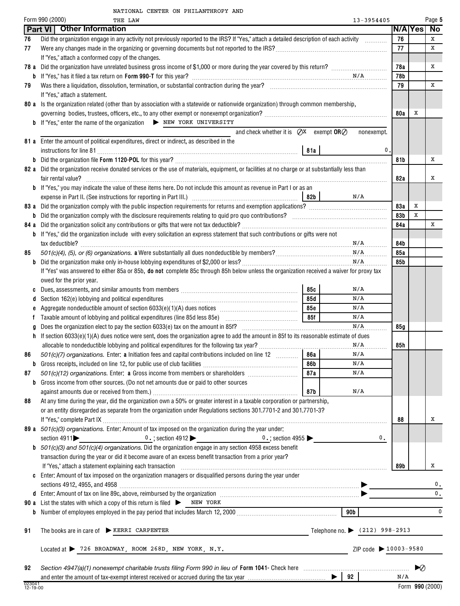|  | NATIONAL CENTER ON PHILANTHROPY AND |  |
|--|-------------------------------------|--|
|  |                                     |  |

|                    | Form 990 (2000)<br>13-3954405<br>THE LAW                                                                                                                                         |     |    | Page 5          |
|--------------------|----------------------------------------------------------------------------------------------------------------------------------------------------------------------------------|-----|----|-----------------|
|                    | Part VI   Other Information                                                                                                                                                      |     |    | N/A Yes No      |
| 76                 | Did the organization engage in any activity not previously reported to the IRS? If "Yes," attach a detailed description of each activity                                         | 76  |    | x               |
| 77                 |                                                                                                                                                                                  | 77  |    | x               |
|                    | If "Yes," attach a conformed copy of the changes.                                                                                                                                |     |    |                 |
|                    |                                                                                                                                                                                  | 78a |    | Х               |
|                    |                                                                                                                                                                                  | 78b |    |                 |
| 79                 |                                                                                                                                                                                  | 79  |    | x               |
|                    | If "Yes," attach a statement.                                                                                                                                                    |     |    |                 |
|                    | 80 a Is the organization related (other than by association with a statewide or nationwide organization) through common membership,                                              |     |    |                 |
|                    |                                                                                                                                                                                  | 80a | Χ  |                 |
|                    | <b>b</b> If "Yes," enter the name of the organization > NEW YORK UNIVERSITY                                                                                                      |     |    |                 |
|                    | and check whether it is $QX$ exempt $ORQ$<br>nonexempt.                                                                                                                          |     |    |                 |
|                    | 81 a Enter the amount of political expenditures, direct or indirect, as described in the                                                                                         |     |    |                 |
|                    | 0.                                                                                                                                                                               |     |    |                 |
|                    |                                                                                                                                                                                  | 81b |    | х               |
|                    | 82 a Did the organization receive donated services or the use of materials, equipment, or facilities at no charge or at substantially less than                                  |     |    |                 |
|                    |                                                                                                                                                                                  | 82a |    | х               |
|                    | <b>b</b> If "Yes," you may indicate the value of these items here. Do not include this amount as revenue in Part I or as an                                                      |     |    |                 |
|                    | N/A<br>  82b                                                                                                                                                                     |     |    |                 |
|                    | 83 a Did the organization comply with the public inspection requirements for returns and exemption applications?                                                                 | 83a | Х  |                 |
|                    |                                                                                                                                                                                  | 83b | x  |                 |
| 84 a               |                                                                                                                                                                                  | 84a |    | х               |
|                    | <b>b</b> If "Yes," did the organization include with every solicitation an express statement that such contributions or gifts were not                                           |     |    |                 |
|                    |                                                                                                                                                                                  | 84b |    |                 |
| 85                 |                                                                                                                                                                                  | 85a |    |                 |
|                    | N/A                                                                                                                                                                              | 85b |    |                 |
|                    | If "Yes" was answered to either 85a or 85b, do not complete 85c through 85h below unless the organization received a waiver for proxy tax                                        |     |    |                 |
|                    | owed for the prior year.                                                                                                                                                         |     |    |                 |
| C                  | Dues, assessments, and similar amounts from members [111] with an according to the system of the Dues, assessments, and similar amounts from members<br>85с<br>N/A               |     |    |                 |
|                    | 85d<br>N/A                                                                                                                                                                       |     |    |                 |
| e                  | 85с<br>N/A                                                                                                                                                                       |     |    |                 |
| f                  | 85f<br>N/A<br>Taxable amount of lobbying and political expenditures (line 85d less 85e) [10] [10] [10] Taxable amount of lobbying and political expenditures (line 85d less 85e) |     |    |                 |
| g                  | N/A                                                                                                                                                                              | 85g |    |                 |
| h.                 | If section $6033(e)(1)(A)$ dues notice were sent, does the organization agree to add the amount in 85f to its reasonable estimate of dues                                        |     |    |                 |
|                    | N/A                                                                                                                                                                              | 85h |    |                 |
| 86                 | 501(c)(7) organizations. Enter: a Initiation fees and capital contributions included on line 12<br>86a l<br>N/A                                                                  |     |    |                 |
|                    | 86b<br>N/A                                                                                                                                                                       |     |    |                 |
| 87                 | 501(c)(12) organizations. Enter: a Gross income from members or shareholders <i>manuminaminal</i><br>87a<br>N/A                                                                  |     |    |                 |
|                    | <b>b</b> Gross income from other sources. (Do not net amounts due or paid to other sources                                                                                       |     |    |                 |
|                    | 87b<br>N/A                                                                                                                                                                       |     |    |                 |
| 88                 | At any time during the year, did the organization own a 50% or greater interest in a taxable corporation or partnership,                                                         |     |    |                 |
|                    | or an entity disregarded as separate from the organization under Regulations sections 301.7701-2 and 301.7701-3?                                                                 |     |    |                 |
|                    |                                                                                                                                                                                  | 88  |    | х               |
|                    | 89 a 501(c)(3) organizations. Enter: Amount of tax imposed on the organization during the year under:                                                                            |     |    |                 |
|                    | section $4911$<br>0.                                                                                                                                                             |     |    |                 |
|                    | <b>b</b> $501(c)(3)$ and $501(c)(4)$ organizations. Did the organization engage in any section 4958 excess benefit                                                               |     |    |                 |
|                    | transaction during the year or did it become aware of an excess benefit transaction from a prior year?                                                                           |     |    |                 |
|                    |                                                                                                                                                                                  | 89b |    | х               |
|                    | c Enter: Amount of tax imposed on the organization managers or disqualified persons during the year under                                                                        |     |    |                 |
|                    |                                                                                                                                                                                  |     |    | 0.              |
|                    |                                                                                                                                                                                  |     |    | 0.              |
|                    | <b>90 a</b> List the states with which a copy of this return is filed $\triangleright$ NEW YORK                                                                                  |     |    |                 |
| b                  | 90 <sub>b</sub>                                                                                                                                                                  |     |    | $\mathbf 0$     |
|                    |                                                                                                                                                                                  |     |    |                 |
| 91                 | The books are in care of $\triangleright$ KERRI CARPENTER<br>Telephone no. $\triangleright$ (212) 998-2913<br><u> 1980 - Johann Barn, mars an t-Amerikaansk kommunister (</u>    |     |    |                 |
|                    |                                                                                                                                                                                  |     |    |                 |
|                    | $Located at$ $\triangleright$ 726 BROADWAY, ROOM 268D, NEW YORK, N.Y.<br>ZIP code > 10003-9580                                                                                   |     |    |                 |
|                    |                                                                                                                                                                                  |     |    |                 |
| 92                 |                                                                                                                                                                                  |     | ▶⊘ |                 |
|                    |                                                                                                                                                                                  | N/A |    |                 |
| 023041<br>12-19-00 |                                                                                                                                                                                  |     |    | Form 990 (2000) |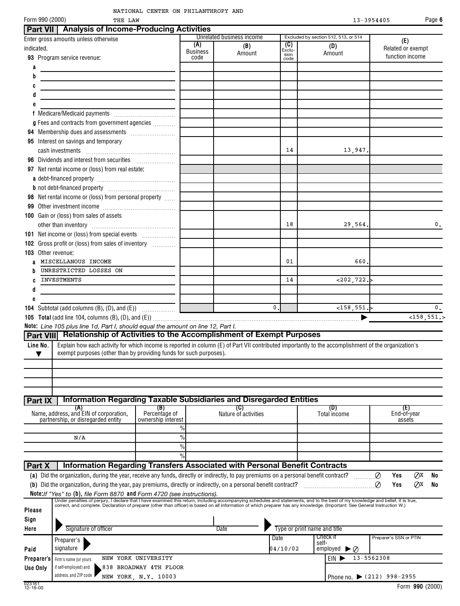| NATIONAL CENTER ON PHILANTHROPY AND                                                                                                                    |                                |                                            |                               |                                                       |                | Page 6                                      |
|--------------------------------------------------------------------------------------------------------------------------------------------------------|--------------------------------|--------------------------------------------|-------------------------------|-------------------------------------------------------|----------------|---------------------------------------------|
| Form 990 (2000)<br>THE LAW                                                                                                                             |                                |                                            |                               |                                                       | $13 - 3954405$ |                                             |
| <b>Analysis of Income-Producing Activities</b><br><b>Part VII</b><br>Enter gross amounts unless otherwise<br>indicated.<br>93 Program service revenue: | (A)<br><b>Business</b><br>code | Unrelated business income<br>(B)<br>Amount | (C)<br>Exclu-<br>sion<br>code | Excluded by section 512, 513, or 514<br>(D)<br>Amount |                | (E)<br>Related or exempt<br>function income |
| a<br>b                                                                                                                                                 |                                |                                            |                               |                                                       |                |                                             |
| c                                                                                                                                                      |                                |                                            |                               |                                                       |                |                                             |
| d                                                                                                                                                      |                                |                                            |                               |                                                       |                |                                             |
| е                                                                                                                                                      |                                |                                            |                               |                                                       |                |                                             |
| Medicare/Medicaid payments<br>g Fees and contracts from government agencies                                                                            |                                |                                            |                               |                                                       |                |                                             |
| 94<br>Interest on savings and temporary<br>95<br>cash investments                                                                                      |                                |                                            | 14                            |                                                       | 13,947.        |                                             |
|                                                                                                                                                        |                                |                                            |                               |                                                       |                |                                             |
| Net rental income or (loss) from real estate:<br>97                                                                                                    |                                |                                            |                               |                                                       |                |                                             |

# **Part IX Information Regarding Taxable Subsidiaries and Disregarded Entities**

**Part VIII Relationship of Activities to the Accomplishment of Exempt Purposes**

**105 Total** (add line 104, columns (B), (D), and (E)) ~~~~~~~~~~~~~~~~~~~~~~~~~~~~~~~~~~~~~ |

MISCELLANOUS INCOME (60. UNITSCELLANOUS INCOME

INVESTMENTS 14 <202,722.>

Line No. Explain how each activity for which income is reported in column (E) of Part VII contributed importantly to the accomplishment of the organization's

18 29,564. 0.

0.  $\vert$  <158,551.> 0.

**98** Net rental income or (loss) from personal property  $\ldots$ **99** Other investment income ~~~~~~~~~~~~~

**b** not debt-financed property \_\_\_\_\_\_\_\_\_\_\_\_\_\_\_\_\_\_\_\_\_\_\_\_\_\_\_\_\_

**101** Net income or (loss) from special events  $\ldots$ **102** Gross profit or (loss) from sales of inventory  $\ldots$ 

other than inventory ~~~~~~~~~~~~~~~

**104** Subtotal (add columns  $(B)$ ,  $(D)$ , and  $(E)$ )  $\ldots$   $\ldots$   $\ldots$ 

**Note:** *Line 105 plus line 1d, Part I, should equal the amount on line 12, Part I.*

 $\blacktriangledown$  | exempt purposes (other than by providing funds for such purposes).

**100** Gain or (loss) from sales of assets

UNRESTRICTED LOSSES ON

**103** Other revenue:

**a b c d e**

|            | (A)<br>Name, address, and EIN of corporation,<br>partnership, or disregarded entity | (B)<br>Percentage of<br>ownership interest | (C)<br>Nature of activities                                                                                                                                                                                                                                                                                                                                      |          | (D)<br>Total income               | (E)<br>End-of-year<br>assets |  |
|------------|-------------------------------------------------------------------------------------|--------------------------------------------|------------------------------------------------------------------------------------------------------------------------------------------------------------------------------------------------------------------------------------------------------------------------------------------------------------------------------------------------------------------|----------|-----------------------------------|------------------------------|--|
|            |                                                                                     | $\frac{0}{0}$                              |                                                                                                                                                                                                                                                                                                                                                                  |          |                                   |                              |  |
|            | N/A                                                                                 | $\%$                                       |                                                                                                                                                                                                                                                                                                                                                                  |          |                                   |                              |  |
|            |                                                                                     | $\%$                                       |                                                                                                                                                                                                                                                                                                                                                                  |          |                                   |                              |  |
|            |                                                                                     | $\frac{0}{0}$                              |                                                                                                                                                                                                                                                                                                                                                                  |          |                                   |                              |  |
| Part X     |                                                                                     |                                            | <b>Information Regarding Transfers Associated with Personal Benefit Contracts</b>                                                                                                                                                                                                                                                                                |          |                                   |                              |  |
|            |                                                                                     |                                            | (a) Did the organization, during the year, receive any funds, directly or indirectly, to pay premiums on a personal benefit contract?                                                                                                                                                                                                                            |          |                                   | Øx<br>Yes<br>No<br>Ø         |  |
| (b)        |                                                                                     |                                            | Did the organization, during the year, pay premiums, directly or indirectly, on a personal benefit contract?                                                                                                                                                                                                                                                     |          |                                   | Øx<br>No<br>Yes              |  |
|            | Note: If "Yes" to (b), file Form 8870 and Form 4720 (see instructions).             |                                            |                                                                                                                                                                                                                                                                                                                                                                  |          |                                   |                              |  |
| Please     |                                                                                     |                                            | Under penalties of perjury, I declare that I have examined this return, including accompanying schedules and statements, and to the best of my knowledge and belief, it is true,<br>correct, and complete. Declaration of preparer (other than officer) is based on all information of which preparer has any knowledge. (Important: See General Instruction W.) |          |                                   |                              |  |
| Sign       |                                                                                     |                                            |                                                                                                                                                                                                                                                                                                                                                                  |          |                                   |                              |  |
| Here       | Signature of officer                                                                |                                            | Date                                                                                                                                                                                                                                                                                                                                                             |          | Type or print name and title      |                              |  |
|            | Preparer's                                                                          |                                            |                                                                                                                                                                                                                                                                                                                                                                  | Date     | Check if<br>self-                 | Preparer's SSN or PTIN       |  |
| Paid       | signature                                                                           |                                            |                                                                                                                                                                                                                                                                                                                                                                  | 04/10/02 | employed $\triangleright \oslash$ |                              |  |
| Preparer's | Firm's name (or yours                                                               | NEW YORK UNIVERSITY                        |                                                                                                                                                                                                                                                                                                                                                                  |          | EIN                               | 13-5562308                   |  |
| Use Only   | if self-employed) and                                                               | 838 BROADWAY 4TH FLOOR                     |                                                                                                                                                                                                                                                                                                                                                                  |          |                                   |                              |  |
|            | address, and ZIP code                                                               | NEW YORK, N.Y. 10003                       |                                                                                                                                                                                                                                                                                                                                                                  |          |                                   | Phone no. (212) 998-2955     |  |
| 023161     |                                                                                     |                                            |                                                                                                                                                                                                                                                                                                                                                                  |          |                                   |                              |  |

 $<$ 158.551.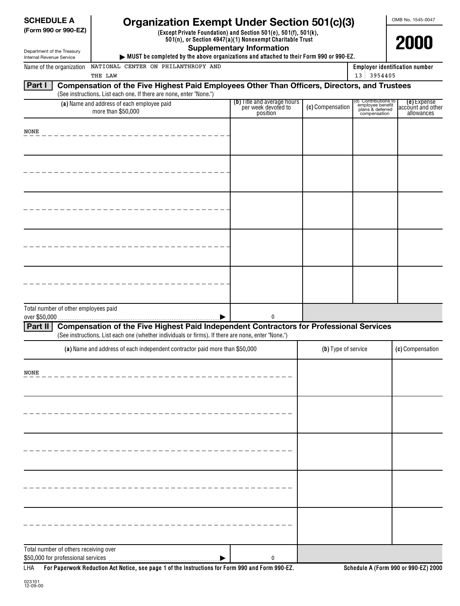| <b>SCHEDULE A</b><br>(Form 990 or 990-EZ)<br>Department of the Treasury                                | <b>Organization Exempt Under Section 501(c)(3)</b><br>(Except Private Foundation) and Section 501(e), 501(f), 501(k),<br>501(n), or Section 4947(a)(1) Nonexempt Charitable Trust<br><b>Supplementary Information</b><br>MUST be completed by the above organizations and attached to their Form 990 or 990-EZ. | OMB No. 1545-0047<br>2000                                      |                     |                                                                              |                                                |
|--------------------------------------------------------------------------------------------------------|-----------------------------------------------------------------------------------------------------------------------------------------------------------------------------------------------------------------------------------------------------------------------------------------------------------------|----------------------------------------------------------------|---------------------|------------------------------------------------------------------------------|------------------------------------------------|
| Internal Revenue Service<br>NATIONAL CENTER ON PHILANTHROPY AND<br>Name of the organization<br>THE LAW |                                                                                                                                                                                                                                                                                                                 | <b>Employer identification number</b><br>13 3954405            |                     |                                                                              |                                                |
| Part I                                                                                                 | Compensation of the Five Highest Paid Employees Other Than Officers, Directors, and Trustees<br>(See instructions. List each one. If there are none, enter "None.")                                                                                                                                             |                                                                |                     |                                                                              |                                                |
|                                                                                                        | (a) Name and address of each employee paid<br>more than \$50,000                                                                                                                                                                                                                                                | (b) Title and average hours<br>per week devoted to<br>position | (c) Compensation    | (d) Contributions to<br>employee benefit<br>plans & deferred<br>compensation | (e) Expense<br>account and other<br>allowances |
| NONE                                                                                                   |                                                                                                                                                                                                                                                                                                                 |                                                                |                     |                                                                              |                                                |
|                                                                                                        |                                                                                                                                                                                                                                                                                                                 |                                                                |                     |                                                                              |                                                |
|                                                                                                        |                                                                                                                                                                                                                                                                                                                 |                                                                |                     |                                                                              |                                                |
|                                                                                                        |                                                                                                                                                                                                                                                                                                                 |                                                                |                     |                                                                              |                                                |
|                                                                                                        |                                                                                                                                                                                                                                                                                                                 |                                                                |                     |                                                                              |                                                |
|                                                                                                        |                                                                                                                                                                                                                                                                                                                 |                                                                |                     |                                                                              |                                                |
| Total number of other employees paid<br>over \$50,000                                                  |                                                                                                                                                                                                                                                                                                                 | $\mathbf{0}$                                                   |                     |                                                                              |                                                |
| Part II                                                                                                | <b>Compensation of the Five Highest Paid Independent Contractors for Professional Services</b><br>(See instructions. List each one (whether individuals or firms). If there are none, enter "None.")                                                                                                            |                                                                |                     |                                                                              |                                                |
|                                                                                                        | (a) Name and address of each independent contractor paid more than \$50,000                                                                                                                                                                                                                                     |                                                                | (b) Type of service |                                                                              | (c) Compensation                               |
| NONE                                                                                                   |                                                                                                                                                                                                                                                                                                                 |                                                                |                     |                                                                              |                                                |
|                                                                                                        |                                                                                                                                                                                                                                                                                                                 |                                                                |                     |                                                                              |                                                |
|                                                                                                        |                                                                                                                                                                                                                                                                                                                 |                                                                |                     |                                                                              |                                                |
|                                                                                                        |                                                                                                                                                                                                                                                                                                                 |                                                                |                     |                                                                              |                                                |
|                                                                                                        |                                                                                                                                                                                                                                                                                                                 |                                                                |                     |                                                                              |                                                |
|                                                                                                        |                                                                                                                                                                                                                                                                                                                 |                                                                |                     |                                                                              |                                                |
| Total number of others receiving over                                                                  | For Paperwork Reduction Act Notice, see page 1 of the Instructions for Form 990 and Form 990-EZ.                                                                                                                                                                                                                | 0                                                              |                     |                                                                              | Schedule A (Form 990 or 990-EZ) 2000           |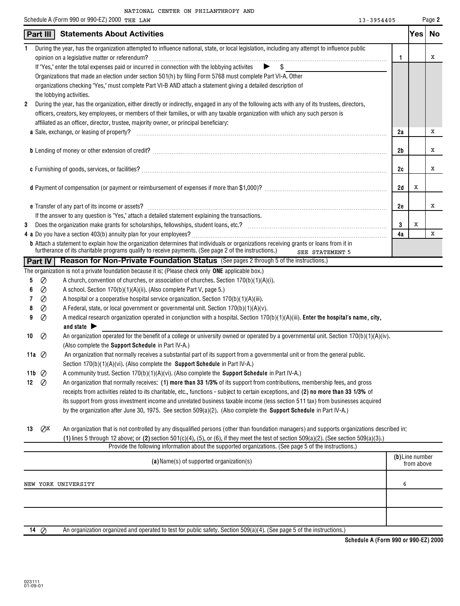|    |               | Schedule A (Form 990 or 990-EZ) 2000 THE LAW                                                                                                                                                                                                                              | 13-3954405 |     | Page 2    |
|----|---------------|---------------------------------------------------------------------------------------------------------------------------------------------------------------------------------------------------------------------------------------------------------------------------|------------|-----|-----------|
|    | Part III      | <b>Statements About Activities</b>                                                                                                                                                                                                                                        |            | Yes | <b>No</b> |
| 1  |               | During the year, has the organization attempted to influence national, state, or local legislation, including any attempt to influence public                                                                                                                             |            |     | х         |
|    |               | opinion on a legislative matter or referendum?<br>If "Yes," enter the total expenses paid or incurred in connection with the lobbying activites $\triangleright$ \$                                                                                                       | 1          |     |           |
|    |               |                                                                                                                                                                                                                                                                           |            |     |           |
|    |               | Organizations that made an election under section 501(h) by filing Form 5768 must complete Part VI-A. Other                                                                                                                                                               |            |     |           |
|    |               | organizations checking "Yes," must complete Part VI-B AND attach a statement giving a detailed description of                                                                                                                                                             |            |     |           |
| 2  |               | the lobbying activities.                                                                                                                                                                                                                                                  |            |     |           |
|    |               | During the year, has the organization, either directly or indirectly, engaged in any of the following acts with any of its trustees, directors,                                                                                                                           |            |     |           |
|    |               | officers, creators, key employees, or members of their families, or with any taxable organization with which any such person is                                                                                                                                           |            |     |           |
|    |               | affiliated as an officer, director, trustee, majority owner, or principal beneficiary:                                                                                                                                                                                    |            |     | х         |
|    |               | <b>a</b> Sale, exchange, or leasing of property?                                                                                                                                                                                                                          | 2a         |     |           |
|    |               |                                                                                                                                                                                                                                                                           | 2b         |     | Х         |
|    |               |                                                                                                                                                                                                                                                                           |            |     |           |
|    |               |                                                                                                                                                                                                                                                                           | 2c         |     | x         |
|    |               |                                                                                                                                                                                                                                                                           |            |     |           |
|    |               |                                                                                                                                                                                                                                                                           | 2d         | x   |           |
|    |               |                                                                                                                                                                                                                                                                           |            |     |           |
|    |               |                                                                                                                                                                                                                                                                           | 2e         |     | x         |
|    |               | If the answer to any question is "Yes," attach a detailed statement explaining the transactions.                                                                                                                                                                          |            |     |           |
| 3  |               |                                                                                                                                                                                                                                                                           | 3          | X   |           |
|    |               |                                                                                                                                                                                                                                                                           | 4a         |     | X         |
|    |               | <b>b</b> Attach a statement to explain how the organization determines that individuals or organizations receiving grants or loans from it in<br>furtherance of its charitable programs qualify to receive payments. (See page 2 of the instructions.)<br>SEE STATEMENT 5 |            |     |           |
|    | Part IV       | Reason for Non-Private Foundation Status (See pages 2 through 5 of the instructions.)                                                                                                                                                                                     |            |     |           |
|    |               | The organization is not a private foundation because it is: (Please check only ONE applicable box.)                                                                                                                                                                       |            |     |           |
| 5  | $\oslash$     | A church, convention of churches, or association of churches. Section 170(b)(1)(A)(i).                                                                                                                                                                                    |            |     |           |
| 6  | $\oslash$     | A school. Section 170(b)(1)(A)(ii). (Also complete Part V, page 5.)                                                                                                                                                                                                       |            |     |           |
| 7  | Ø             | A hospital or a cooperative hospital service organization. Section 170(b)(1)(A)(iii).                                                                                                                                                                                     |            |     |           |
| 8  | Ø             | A Federal, state, or local government or governmental unit. Section 170(b)(1)(A)(v).                                                                                                                                                                                      |            |     |           |
| 9  | $\oslash$     | A medical research organization operated in conjunction with a hospital. Section 170(b)(1)(A)(iii). Enter the hospital's name, city,                                                                                                                                      |            |     |           |
|    |               | and state $\blacktriangleright$                                                                                                                                                                                                                                           |            |     |           |
| 10 | $\oslash$     | An organization operated for the benefit of a college or university owned or operated by a governmental unit. Section 170(b)(1)(A)(iv).                                                                                                                                   |            |     |           |
|    |               | (Also complete the Support Schedule in Part IV-A.)                                                                                                                                                                                                                        |            |     |           |
|    | 11a $\oslash$ | An organization that normally receives a substantial part of its support from a governmental unit or from the general public.                                                                                                                                             |            |     |           |
|    |               | Section 170(b)(1)(A)(vi). (Also complete the <b>Support Schedule</b> in Part IV-A.)                                                                                                                                                                                       |            |     |           |
|    | 11b $\oslash$ | A community trust. Section 170(b)(1)(A)(vi). (Also complete the Support Schedule in Part IV-A.)                                                                                                                                                                           |            |     |           |

| 12 $\oslash$ |  |  |                                                                                                                              | An organization that normally receives: (1) more than 33 1/3% of its support from contributions, membership fees, and gross          |
|--------------|--|--|------------------------------------------------------------------------------------------------------------------------------|--------------------------------------------------------------------------------------------------------------------------------------|
|              |  |  |                                                                                                                              | receipts from activities related to its charitable, etc., functions - subject to certain exceptions, and (2) no more than 33 1/3% of |
|              |  |  |                                                                                                                              | its support from gross investment income and unrelated business taxable income (less section 511 tax) from businesses acquired       |
|              |  |  | by the organization after June 30, 1975. See section $509(a)(2)$ . (Also complete the <b>Support Schedule</b> in Part IV-A.) |                                                                                                                                      |
|              |  |  |                                                                                                                              |                                                                                                                                      |

| 13 $\mathcal{O}^{\times}$ | An organization that is not controlled by any disqualified persons (other than foundation managers) and supports organizations described in: |
|---------------------------|----------------------------------------------------------------------------------------------------------------------------------------------|
|                           | (1) lines 5 through 12 above; or (2) section 501(c)(4), (5), or (6), if they meet the test of section 509(a)(2). (See section 509(a)(3).)    |
|                           | Provide the following information about the supported organizations. (See page 5 of the instructions.)                                       |

|                  | (a) Name(s) of supported organization(s)                                                                              | (b)Line number<br>from above |
|------------------|-----------------------------------------------------------------------------------------------------------------------|------------------------------|
|                  | NEW YORK UNIVERSITY                                                                                                   | ь                            |
|                  |                                                                                                                       |                              |
|                  |                                                                                                                       |                              |
| $\sim$ 14 $\sim$ | An arganization arganized and operated to test for public safety. Section 500(a)(A), (See name 5 of the instructions) |                              |

**14**  $\oslash$  An organization organized and operated to test for public safety. Section 509(a)(4). (See page 5 of the instructions.)

 $\overline{\phantom{a}}$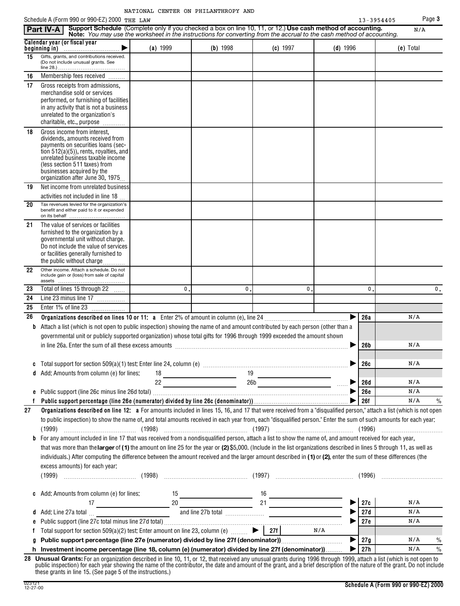|  | NATIONAL CENTER ON PHILANTHROPY AND |  |
|--|-------------------------------------|--|
|  |                                     |  |

Schedule A (Form 990 or 990-F7) 2000 <del>pup **1** AM</del> 3 and 3 and 3 and 3 and 3 and 3 and 3 and 3 and 3 and 3 and 3 and 3 and 3 and 3 and 3 and 3 and 3 and 3 and 3 and 3 and 3 and 3 and 3 and 3 and 3 and 3 and 3 and 3 and 3 an

|         | Schedule A (Form 990 or 990-EZ) 2000 THE LAW                                                                                                                                                                                                                                                                                                                                                                                                                                                                                                                                                                                                                                                                                                                                                                                                                                                    |              |                                                                                                                                                                                                                                                                                                 |          |                       | 13-3954405 | Page 3               |
|---------|-------------------------------------------------------------------------------------------------------------------------------------------------------------------------------------------------------------------------------------------------------------------------------------------------------------------------------------------------------------------------------------------------------------------------------------------------------------------------------------------------------------------------------------------------------------------------------------------------------------------------------------------------------------------------------------------------------------------------------------------------------------------------------------------------------------------------------------------------------------------------------------------------|--------------|-------------------------------------------------------------------------------------------------------------------------------------------------------------------------------------------------------------------------------------------------------------------------------------------------|----------|-----------------------|------------|----------------------|
|         | Support Schedule (Complete only if you checked a box on line 10, 11, or 12.) Use cash method of accounting.<br>Part IV-A<br>Note: You may use the worksheet in the instructions for converting from the accrual to the cash method of accounting.                                                                                                                                                                                                                                                                                                                                                                                                                                                                                                                                                                                                                                               |              |                                                                                                                                                                                                                                                                                                 |          |                       |            | N/A                  |
|         | Calendar year (or fiscal year<br>▶                                                                                                                                                                                                                                                                                                                                                                                                                                                                                                                                                                                                                                                                                                                                                                                                                                                              | (a) 1999     | (b) 1998                                                                                                                                                                                                                                                                                        | (c) 1997 | $(d)$ 1996            |            | (e) Total            |
| 15      | Gifts, grants, and contributions received.<br>(Do not include unusual grants. See                                                                                                                                                                                                                                                                                                                                                                                                                                                                                                                                                                                                                                                                                                                                                                                                               |              |                                                                                                                                                                                                                                                                                                 |          |                       |            |                      |
| 16      | Membership fees received                                                                                                                                                                                                                                                                                                                                                                                                                                                                                                                                                                                                                                                                                                                                                                                                                                                                        |              |                                                                                                                                                                                                                                                                                                 |          |                       |            |                      |
| 17      | Gross receipts from admissions,<br>merchandise sold or services<br>performed, or furnishing of facilities<br>in any activity that is not a business<br>unrelated to the organization's<br>charitable, etc., purpose                                                                                                                                                                                                                                                                                                                                                                                                                                                                                                                                                                                                                                                                             |              |                                                                                                                                                                                                                                                                                                 |          |                       |            |                      |
| 18      | Gross income from interest,<br>dividends, amounts received from<br>payments on securities loans (sec-<br>tion $512(a)(5)$ , rents, royalties, and<br>unrelated business taxable income<br>(less section 511 taxes) from<br>businesses acquired by the<br>organization after June 30, 1975                                                                                                                                                                                                                                                                                                                                                                                                                                                                                                                                                                                                       |              |                                                                                                                                                                                                                                                                                                 |          |                       |            |                      |
| 19      | Net income from unrelated business                                                                                                                                                                                                                                                                                                                                                                                                                                                                                                                                                                                                                                                                                                                                                                                                                                                              |              |                                                                                                                                                                                                                                                                                                 |          |                       |            |                      |
| 20      | activities not included in line 18<br>Tax revenues levied for the organization's<br>benefit and either paid to it or expended                                                                                                                                                                                                                                                                                                                                                                                                                                                                                                                                                                                                                                                                                                                                                                   |              |                                                                                                                                                                                                                                                                                                 |          |                       |            |                      |
| 21      | on its behalf<br>The value of services or facilities<br>furnished to the organization by a<br>governmental unit without charge.<br>Do not include the value of services<br>or facilities generally furnished to<br>the public without charge                                                                                                                                                                                                                                                                                                                                                                                                                                                                                                                                                                                                                                                    |              |                                                                                                                                                                                                                                                                                                 |          |                       |            |                      |
| 22      | Other income. Attach a schedule. Do not<br>include gain or (loss) from sale of capital                                                                                                                                                                                                                                                                                                                                                                                                                                                                                                                                                                                                                                                                                                                                                                                                          |              |                                                                                                                                                                                                                                                                                                 |          |                       |            |                      |
| 23      | Total of lines 15 through 22                                                                                                                                                                                                                                                                                                                                                                                                                                                                                                                                                                                                                                                                                                                                                                                                                                                                    | $\mathbf{0}$ | 0                                                                                                                                                                                                                                                                                               |          | 0                     | 0          | 0.                   |
| 24      | Line 23 minus line 17                                                                                                                                                                                                                                                                                                                                                                                                                                                                                                                                                                                                                                                                                                                                                                                                                                                                           |              |                                                                                                                                                                                                                                                                                                 |          |                       |            |                      |
| 25      | Enter 1% of line 23                                                                                                                                                                                                                                                                                                                                                                                                                                                                                                                                                                                                                                                                                                                                                                                                                                                                             |              |                                                                                                                                                                                                                                                                                                 |          |                       |            |                      |
| 26      | Organizations described on lines 10 or 11: a Enter 2% of amount in column (e), line 24                                                                                                                                                                                                                                                                                                                                                                                                                                                                                                                                                                                                                                                                                                                                                                                                          |              |                                                                                                                                                                                                                                                                                                 |          |                       | 26a        | N/A                  |
| b       | Attach a list (which is not open to public inspection) showing the name of and amount contributed by each person (other than a                                                                                                                                                                                                                                                                                                                                                                                                                                                                                                                                                                                                                                                                                                                                                                  |              |                                                                                                                                                                                                                                                                                                 |          |                       |            |                      |
|         | governmental unit or publicly supported organization) whose total gifts for 1996 through 1999 exceeded the amount shown                                                                                                                                                                                                                                                                                                                                                                                                                                                                                                                                                                                                                                                                                                                                                                         |              |                                                                                                                                                                                                                                                                                                 |          |                       |            |                      |
|         | in line 26a. Enter the sum of all these excess amounts [11] matter contained a substitution of the sum of all                                                                                                                                                                                                                                                                                                                                                                                                                                                                                                                                                                                                                                                                                                                                                                                   |              |                                                                                                                                                                                                                                                                                                 |          |                       | 26b        | N/A                  |
|         |                                                                                                                                                                                                                                                                                                                                                                                                                                                                                                                                                                                                                                                                                                                                                                                                                                                                                                 |              |                                                                                                                                                                                                                                                                                                 |          |                       |            | N/A                  |
|         |                                                                                                                                                                                                                                                                                                                                                                                                                                                                                                                                                                                                                                                                                                                                                                                                                                                                                                 |              |                                                                                                                                                                                                                                                                                                 |          |                       | 26c        |                      |
|         | <b>d</b> Add: Amounts from column (e) for lines:                                                                                                                                                                                                                                                                                                                                                                                                                                                                                                                                                                                                                                                                                                                                                                                                                                                |              | $\frac{18}{22}$ $\frac{19}{260}$ $\frac{19}{260}$ $\frac{19}{260}$ $\frac{19}{260}$ $\frac{19}{260}$ $\frac{19}{260}$ $\frac{19}{260}$ $\frac{19}{260}$ $\frac{19}{260}$ $\frac{19}{260}$ $\frac{19}{260}$ $\frac{19}{260}$ $\frac{19}{260}$ $\frac{19}{260}$ $\frac{19}{260}$ $\frac{19}{260}$ |          |                       | <b>26d</b> | N/A                  |
|         |                                                                                                                                                                                                                                                                                                                                                                                                                                                                                                                                                                                                                                                                                                                                                                                                                                                                                                 |              |                                                                                                                                                                                                                                                                                                 |          | ▶                     | <b>26e</b> | N/A                  |
|         |                                                                                                                                                                                                                                                                                                                                                                                                                                                                                                                                                                                                                                                                                                                                                                                                                                                                                                 |              |                                                                                                                                                                                                                                                                                                 |          |                       | 26f        | N/A<br>$\%$          |
| 27<br>b | Organizations described on line 12: a For amounts included in lines 15, 16, and 17 that were received from a "disqualified person," attach a list (which is not open<br>to public inspection) to show the name of, and total amounts received in each year from, each "disqualified person." Enter the sum of such amounts for each year:<br>(1999)<br>For any amount included in line 17 that was received from a nondisqualified person, attach a list to show the name of, and amount received for each year,<br>that was more than the larger of (1) the amount on line 25 for the year or (2) \$5,000. (Include in the list organizations described in lines 5 through 11, as well as<br>individuals.) After computing the difference between the amount received and the larger amount described in (1) or (2), enter the sum of these differences (the<br>excess amounts) for each year: |              |                                                                                                                                                                                                                                                                                                 |          |                       |            |                      |
|         |                                                                                                                                                                                                                                                                                                                                                                                                                                                                                                                                                                                                                                                                                                                                                                                                                                                                                                 |              |                                                                                                                                                                                                                                                                                                 |          |                       |            |                      |
|         |                                                                                                                                                                                                                                                                                                                                                                                                                                                                                                                                                                                                                                                                                                                                                                                                                                                                                                 |              |                                                                                                                                                                                                                                                                                                 |          | $\blacktriangleright$ | 27c        | N/A                  |
|         |                                                                                                                                                                                                                                                                                                                                                                                                                                                                                                                                                                                                                                                                                                                                                                                                                                                                                                 |              |                                                                                                                                                                                                                                                                                                 |          |                       | 27d        | N/A                  |
| e       |                                                                                                                                                                                                                                                                                                                                                                                                                                                                                                                                                                                                                                                                                                                                                                                                                                                                                                 |              |                                                                                                                                                                                                                                                                                                 |          |                       | 27e        | N/A                  |
|         | Total support for section 509(a)(2) test: Enter amount on line 23, column (e) $\Box$ 27f                                                                                                                                                                                                                                                                                                                                                                                                                                                                                                                                                                                                                                                                                                                                                                                                        |              |                                                                                                                                                                                                                                                                                                 |          | N/A                   |            |                      |
| g       |                                                                                                                                                                                                                                                                                                                                                                                                                                                                                                                                                                                                                                                                                                                                                                                                                                                                                                 |              |                                                                                                                                                                                                                                                                                                 |          | ▶                     | 27g        | N/A<br>%             |
|         | h Investment income percentage (line 18, column (e) (numerator) divided by line 27f (denominator))                                                                                                                                                                                                                                                                                                                                                                                                                                                                                                                                                                                                                                                                                                                                                                                              |              |                                                                                                                                                                                                                                                                                                 |          | ▶                     | 27h        | N/A<br>$\frac{0}{0}$ |
|         | 28 Unusual Grants: For an organization described in line 10, 11, or 12, that received any unusual grants during 1996 through 1999, attach a list (which is not open to                                                                                                                                                                                                                                                                                                                                                                                                                                                                                                                                                                                                                                                                                                                          |              |                                                                                                                                                                                                                                                                                                 |          |                       |            |                      |

**28 Unusual Grants:** For an organization described in line 10, 11, or 12, that received any unusual grants during 1996 through 1999, attach a list (which is not open to public inspection) for each year showing the name of the contributor, the date and amount of the grant, and a brief description of the nature of the grant. Do not include these grants in line 15. (See page 5 of the instructions.)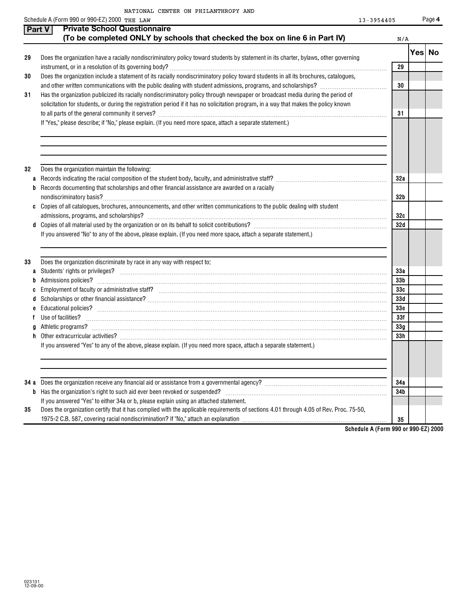|  | NATIONAL CENTER ON PHILANTHROPY AND |  |
|--|-------------------------------------|--|
|  |                                     |  |

| $3 - 3954405$ | Pa |
|---------------|----|
|               |    |

|        | Schedule A (Form 990 or 990-EZ) 2000 THE LAW                                                                                           | 13-3954405      | Page 4  |
|--------|----------------------------------------------------------------------------------------------------------------------------------------|-----------------|---------|
|        | <b>Private School Questionnaire</b><br>Part V                                                                                          |                 |         |
|        | (To be completed ONLY by schools that checked the box on line 6 in Part IV)                                                            | N/A             |         |
| 29     | Does the organization have a racially nondiscriminatory policy toward students by statement in its charter, bylaws, other governing    |                 | Yes  No |
|        |                                                                                                                                        | 29              |         |
| 30     | Does the organization include a statement of its racially nondiscriminatory policy toward students in all its brochures, catalogues,   |                 |         |
|        |                                                                                                                                        | 30              |         |
| 31     | Has the organization publicized its racially nondiscriminatory policy through newspaper or broadcast media during the period of        |                 |         |
|        | solicitation for students, or during the registration period if it has no solicitation program, in a way that makes the policy known   |                 |         |
|        |                                                                                                                                        | 31              |         |
|        | If "Yes," please describe; if "No," please explain. (If you need more space, attach a separate statement.)                             |                 |         |
|        |                                                                                                                                        |                 |         |
| 32     | Does the organization maintain the following:                                                                                          |                 |         |
| a<br>b | Records documenting that scholarships and other financial assistance are awarded on a racially                                         | 32a             |         |
|        |                                                                                                                                        | 32 <sub>b</sub> |         |
|        | c Copies of all catalogues, brochures, announcements, and other written communications to the public dealing with student              |                 |         |
|        |                                                                                                                                        | 32c             |         |
| d      |                                                                                                                                        | 32d             |         |
|        | If you answered "No" to any of the above, please explain. (If you need more space, attach a separate statement.)                       |                 |         |
| 33     | Does the organization discriminate by race in any way with respect to:                                                                 |                 |         |
| a      |                                                                                                                                        | 33a             |         |
|        |                                                                                                                                        | 33 <sub>b</sub> |         |
|        |                                                                                                                                        | 33c             |         |
|        |                                                                                                                                        | 33d             |         |
|        |                                                                                                                                        | 33 <sub>c</sub> |         |
|        | Use of facilities?                                                                                                                     | 33f             |         |
|        |                                                                                                                                        | 33 <sub>g</sub> |         |
|        |                                                                                                                                        | 33h             |         |
|        | If you answered "Yes" to any of the above, please explain. (If you need more space, attach a separate statement.)                      |                 |         |
|        |                                                                                                                                        |                 |         |
| 34 a   |                                                                                                                                        | 34a             |         |
| b      |                                                                                                                                        | 34b             |         |
|        | If you answered "Yes" to either 34a or b, please explain using an attached statement.                                                  |                 |         |
| 35     | Does the organization certify that it has complied with the applicable requirements of sections 4.01 through 4.05 of Rev. Proc. 75-50, |                 |         |
|        |                                                                                                                                        | 35              |         |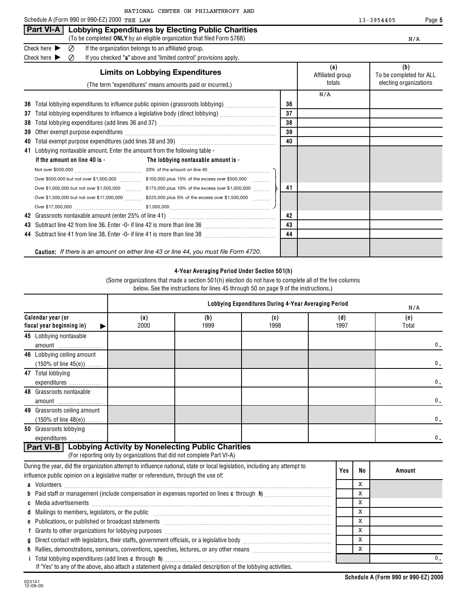**Part VI-A Lobbying Expenditures by Electing Public Charities**

|          | (To be completed ONLY by an eligible organization that filed Form 5768)                                                                                                                                                        |          |                                   | N/A                                                      |
|----------|--------------------------------------------------------------------------------------------------------------------------------------------------------------------------------------------------------------------------------|----------|-----------------------------------|----------------------------------------------------------|
|          | Check here $\blacktriangleright$<br>Ø<br>If the organization belongs to an affiliated group.                                                                                                                                   |          |                                   |                                                          |
|          | Check here<br>If you checked "a" above and "limited control" provisions apply.<br>Ø                                                                                                                                            |          |                                   |                                                          |
|          | <b>Limits on Lobbying Expenditures</b><br>(The term "expenditures" means amounts paid or incurred.)                                                                                                                            |          | (a)<br>Affiliated group<br>totals | (b)<br>To be completed for ALL<br>electing organizations |
| 36<br>37 | Total lobbying expenditures to influence public opinion (grassroots lobbying) [[[[[[[[[[[[[[[[[[[[[[[[[[[[[[[<br>Total lobbying expenditures to influence a legislative body (direct lobbying) [[[[[[[[[[[[[[[[[[[[[[[[[[[[[[[ | 36<br>37 | N/A                               |                                                          |
| 38       |                                                                                                                                                                                                                                | 38       |                                   |                                                          |
| 39       |                                                                                                                                                                                                                                | 39       |                                   |                                                          |
| 40       | Total exempt purpose expenditures (add lines 38 and 39) www.communically.communically                                                                                                                                          | 40       |                                   |                                                          |
|          | 41 Lobbying nontaxable amount. Enter the amount from the following table -                                                                                                                                                     |          |                                   |                                                          |
|          | If the amount on line 40 is -<br>The lobbying nontaxable amount is -                                                                                                                                                           |          |                                   |                                                          |
|          |                                                                                                                                                                                                                                |          |                                   |                                                          |
|          | Over \$1,000,000 but not over \$1,500,000 \$175,000 plus 10% of the excess over \$1,000,000                                                                                                                                    | 41       |                                   |                                                          |
|          | Over \$1,500,000 but not over \$17,000,000  \$225,000 plus 5% of the excess over \$1,500,000                                                                                                                                   |          |                                   |                                                          |
|          |                                                                                                                                                                                                                                |          |                                   |                                                          |
| 42       |                                                                                                                                                                                                                                | 42       |                                   |                                                          |
| 43       |                                                                                                                                                                                                                                | 43       |                                   |                                                          |
|          |                                                                                                                                                                                                                                | 44       |                                   |                                                          |
|          | <b>Caution:</b> If there is an amount on either line 43 or line 44, you must file Form 4720.                                                                                                                                   |          |                                   |                                                          |

## **4-Year Averaging Period Under Section 501(h)**

(Some organizations that made a section 501(h) election do not have to complete all of the five columns below. See the instructions for lines 45 through 50 on page 9 of the instructions.)

| Calendar year (or<br>(e)<br>(a)<br>(b)<br>(c)<br>(d)<br>2000<br>1999<br>1998<br>1997<br>fiscal year beginning in)<br>Total<br>45 Lobbying nontaxable<br>0.<br>amount<br>46 Lobbying ceiling amount<br>$(150\% \text{ of line } 45(e)) \dots$<br>47 Total lobbying<br>expenditures<br>48 Grassroots nontaxable<br>amount<br>49 Grassroots ceiling amount<br>$(150\% \text{ of line } 48(e)) \dots$<br>50 Grassroots lobbying<br>expenditures<br>Part VI-B   Lobbying Activity by Nonelecting Public Charities<br>(For reporting only by organizations that did not complete Part VI-A)<br>During the year, did the organization attempt to influence national, state or local legislation, including any attempt to<br>Yes<br><b>No</b><br>Amount<br>influence public opinion on a legislative matter or referendum, through the use of:<br>x<br>X<br>X<br>X<br>X<br>e Publications, or published or broadcast statements [11] matter contracts and a set of the publications, or published or broadcast statements<br>x<br>X |  |  | Lobbying Expenditures During 4-Year Averaging Period |  | N/A            |
|------------------------------------------------------------------------------------------------------------------------------------------------------------------------------------------------------------------------------------------------------------------------------------------------------------------------------------------------------------------------------------------------------------------------------------------------------------------------------------------------------------------------------------------------------------------------------------------------------------------------------------------------------------------------------------------------------------------------------------------------------------------------------------------------------------------------------------------------------------------------------------------------------------------------------------------------------------------------------------------------------------------------------|--|--|------------------------------------------------------|--|----------------|
|                                                                                                                                                                                                                                                                                                                                                                                                                                                                                                                                                                                                                                                                                                                                                                                                                                                                                                                                                                                                                              |  |  |                                                      |  |                |
|                                                                                                                                                                                                                                                                                                                                                                                                                                                                                                                                                                                                                                                                                                                                                                                                                                                                                                                                                                                                                              |  |  |                                                      |  |                |
|                                                                                                                                                                                                                                                                                                                                                                                                                                                                                                                                                                                                                                                                                                                                                                                                                                                                                                                                                                                                                              |  |  |                                                      |  |                |
|                                                                                                                                                                                                                                                                                                                                                                                                                                                                                                                                                                                                                                                                                                                                                                                                                                                                                                                                                                                                                              |  |  |                                                      |  | $\mathbf{0}$ . |
|                                                                                                                                                                                                                                                                                                                                                                                                                                                                                                                                                                                                                                                                                                                                                                                                                                                                                                                                                                                                                              |  |  |                                                      |  |                |
|                                                                                                                                                                                                                                                                                                                                                                                                                                                                                                                                                                                                                                                                                                                                                                                                                                                                                                                                                                                                                              |  |  |                                                      |  | $\mathbf{0}$ . |
|                                                                                                                                                                                                                                                                                                                                                                                                                                                                                                                                                                                                                                                                                                                                                                                                                                                                                                                                                                                                                              |  |  |                                                      |  |                |
|                                                                                                                                                                                                                                                                                                                                                                                                                                                                                                                                                                                                                                                                                                                                                                                                                                                                                                                                                                                                                              |  |  |                                                      |  | $\mathbf{0}$ . |
|                                                                                                                                                                                                                                                                                                                                                                                                                                                                                                                                                                                                                                                                                                                                                                                                                                                                                                                                                                                                                              |  |  |                                                      |  |                |
|                                                                                                                                                                                                                                                                                                                                                                                                                                                                                                                                                                                                                                                                                                                                                                                                                                                                                                                                                                                                                              |  |  |                                                      |  | $\mathbf{0}$ . |
|                                                                                                                                                                                                                                                                                                                                                                                                                                                                                                                                                                                                                                                                                                                                                                                                                                                                                                                                                                                                                              |  |  |                                                      |  |                |
|                                                                                                                                                                                                                                                                                                                                                                                                                                                                                                                                                                                                                                                                                                                                                                                                                                                                                                                                                                                                                              |  |  |                                                      |  | 0.             |
|                                                                                                                                                                                                                                                                                                                                                                                                                                                                                                                                                                                                                                                                                                                                                                                                                                                                                                                                                                                                                              |  |  |                                                      |  |                |
|                                                                                                                                                                                                                                                                                                                                                                                                                                                                                                                                                                                                                                                                                                                                                                                                                                                                                                                                                                                                                              |  |  |                                                      |  |                |
|                                                                                                                                                                                                                                                                                                                                                                                                                                                                                                                                                                                                                                                                                                                                                                                                                                                                                                                                                                                                                              |  |  |                                                      |  |                |
|                                                                                                                                                                                                                                                                                                                                                                                                                                                                                                                                                                                                                                                                                                                                                                                                                                                                                                                                                                                                                              |  |  |                                                      |  |                |
|                                                                                                                                                                                                                                                                                                                                                                                                                                                                                                                                                                                                                                                                                                                                                                                                                                                                                                                                                                                                                              |  |  |                                                      |  |                |
|                                                                                                                                                                                                                                                                                                                                                                                                                                                                                                                                                                                                                                                                                                                                                                                                                                                                                                                                                                                                                              |  |  |                                                      |  |                |
|                                                                                                                                                                                                                                                                                                                                                                                                                                                                                                                                                                                                                                                                                                                                                                                                                                                                                                                                                                                                                              |  |  |                                                      |  |                |
|                                                                                                                                                                                                                                                                                                                                                                                                                                                                                                                                                                                                                                                                                                                                                                                                                                                                                                                                                                                                                              |  |  |                                                      |  |                |
|                                                                                                                                                                                                                                                                                                                                                                                                                                                                                                                                                                                                                                                                                                                                                                                                                                                                                                                                                                                                                              |  |  |                                                      |  |                |
|                                                                                                                                                                                                                                                                                                                                                                                                                                                                                                                                                                                                                                                                                                                                                                                                                                                                                                                                                                                                                              |  |  |                                                      |  |                |
|                                                                                                                                                                                                                                                                                                                                                                                                                                                                                                                                                                                                                                                                                                                                                                                                                                                                                                                                                                                                                              |  |  |                                                      |  |                |
| X                                                                                                                                                                                                                                                                                                                                                                                                                                                                                                                                                                                                                                                                                                                                                                                                                                                                                                                                                                                                                            |  |  |                                                      |  |                |
| <i>i</i> Total lobbying expenditures (add lines <b>c</b> through <b>h</b> )<br>If "Yes" to any of the above, also attach a statement giving a detailed description of the lobbying activities.                                                                                                                                                                                                                                                                                                                                                                                                                                                                                                                                                                                                                                                                                                                                                                                                                               |  |  |                                                      |  | $\mathbf{0}$ . |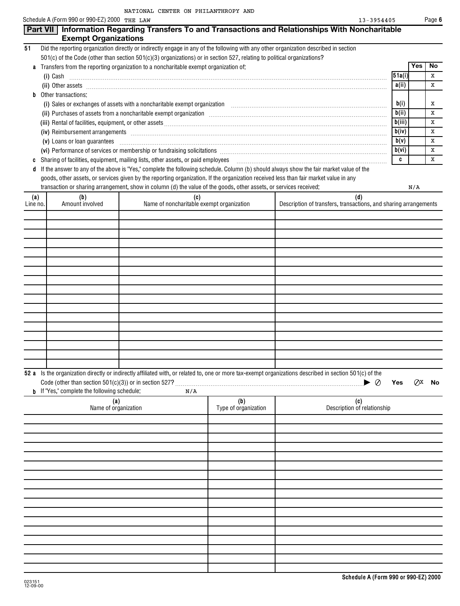|                 | Schedule A (Form 990 or 990-EZ) 2000 THE LAW        |                                                                                                                                       |                             | 13-3954405                                                                                                                                                                                                                                                                                                                                                                                                                                                            |                |     | Page 6    |
|-----------------|-----------------------------------------------------|---------------------------------------------------------------------------------------------------------------------------------------|-----------------------------|-----------------------------------------------------------------------------------------------------------------------------------------------------------------------------------------------------------------------------------------------------------------------------------------------------------------------------------------------------------------------------------------------------------------------------------------------------------------------|----------------|-----|-----------|
|                 | <b>Exempt Organizations</b>                         |                                                                                                                                       |                             | Part VII   Information Regarding Transfers To and Transactions and Relationships With Noncharitable                                                                                                                                                                                                                                                                                                                                                                   |                |     |           |
| 51              |                                                     | Did the reporting organization directly or indirectly engage in any of the following with any other organization described in section |                             |                                                                                                                                                                                                                                                                                                                                                                                                                                                                       |                |     |           |
|                 |                                                     | 501(c) of the Code (other than section 501(c)(3) organizations) or in section 527, relating to political organizations?               |                             |                                                                                                                                                                                                                                                                                                                                                                                                                                                                       |                |     |           |
| a               |                                                     | Transfers from the reporting organization to a noncharitable exempt organization of:                                                  |                             |                                                                                                                                                                                                                                                                                                                                                                                                                                                                       |                | Yes | No<br>x   |
|                 |                                                     |                                                                                                                                       |                             | $(i)$ Cash                                                                                                                                                                                                                                                                                                                                                                                                                                                            | 51a(i)<br>a(i) |     | х         |
| b               | Other transactions:                                 |                                                                                                                                       |                             | (ii) Other assets <b>with an area</b> and area and area and area and area and area and area and area and area and area and area and area and area and area and area and area and area and area and area and area and area and area                                                                                                                                                                                                                                    |                |     |           |
|                 |                                                     |                                                                                                                                       |                             | (i) Sales or exchanges of assets with a noncharitable exempt organization [11] Sales or exchanges of assets with a noncharitable exempt organization [11] $\ldots$                                                                                                                                                                                                                                                                                                    | b(i)           |     | Х         |
|                 |                                                     |                                                                                                                                       |                             | (ii) Purchases of assets from a noncharitable exempt organization manufactured contains and an analyzing contained and an annumental contains and a fill of the set of the set of the set of the set of the set of the set of                                                                                                                                                                                                                                         | b(ii)          |     | X         |
|                 |                                                     |                                                                                                                                       |                             |                                                                                                                                                                                                                                                                                                                                                                                                                                                                       | b(iii)         |     | х         |
|                 |                                                     |                                                                                                                                       |                             | (iv) Reimbursement arrangements [ www.communications are in the contracted and are in the contracted and are in the contracted and are in the contracted and are in the contracted and are in the contracted and are in the co                                                                                                                                                                                                                                        | b(iv)<br>b(v)  |     | X<br>х    |
|                 |                                                     |                                                                                                                                       |                             | (v) Loans or loan guarantees <b>commissions</b> and contract the contract of the contract of the contract of the contract of the contract of the contract of the contract of the contract of the contract of the contract of the co<br>(vi) Performance of services or membership or fundraising solicitations [11] manufactures in the service of services or membership or fundraising solicitations [11] manufactures in the service of the service of the service | b(vi)          |     | X         |
| C               |                                                     | Sharing of facilities, equipment, mailing lists, other assets, or paid employees                                                      |                             |                                                                                                                                                                                                                                                                                                                                                                                                                                                                       | c              |     | х         |
|                 |                                                     |                                                                                                                                       |                             | If the answer to any of the above is "Yes," complete the following schedule. Column (b) should always show the fair market value of the                                                                                                                                                                                                                                                                                                                               |                |     |           |
|                 |                                                     | goods, other assets, or services given by the reporting organization. If the organization received less than fair market value in any |                             |                                                                                                                                                                                                                                                                                                                                                                                                                                                                       |                |     |           |
|                 |                                                     | transaction or sharing arrangement, show in column (d) the value of the goods, other assets, or services received:                    |                             |                                                                                                                                                                                                                                                                                                                                                                                                                                                                       |                | N/A |           |
| (a)<br>Line no. | (b)<br>Amount involved                              | (c)<br>Name of noncharitable exempt organization                                                                                      |                             | (d)<br>Description of transfers, transactions, and sharing arrangements                                                                                                                                                                                                                                                                                                                                                                                               |                |     |           |
|                 |                                                     |                                                                                                                                       |                             |                                                                                                                                                                                                                                                                                                                                                                                                                                                                       |                |     |           |
|                 |                                                     |                                                                                                                                       |                             |                                                                                                                                                                                                                                                                                                                                                                                                                                                                       |                |     |           |
|                 |                                                     |                                                                                                                                       |                             |                                                                                                                                                                                                                                                                                                                                                                                                                                                                       |                |     |           |
|                 |                                                     |                                                                                                                                       |                             |                                                                                                                                                                                                                                                                                                                                                                                                                                                                       |                |     |           |
|                 |                                                     |                                                                                                                                       |                             |                                                                                                                                                                                                                                                                                                                                                                                                                                                                       |                |     |           |
|                 |                                                     |                                                                                                                                       |                             |                                                                                                                                                                                                                                                                                                                                                                                                                                                                       |                |     |           |
|                 |                                                     |                                                                                                                                       |                             |                                                                                                                                                                                                                                                                                                                                                                                                                                                                       |                |     |           |
|                 |                                                     |                                                                                                                                       |                             |                                                                                                                                                                                                                                                                                                                                                                                                                                                                       |                |     |           |
|                 |                                                     |                                                                                                                                       |                             |                                                                                                                                                                                                                                                                                                                                                                                                                                                                       |                |     |           |
|                 |                                                     |                                                                                                                                       |                             |                                                                                                                                                                                                                                                                                                                                                                                                                                                                       |                |     |           |
|                 |                                                     |                                                                                                                                       |                             |                                                                                                                                                                                                                                                                                                                                                                                                                                                                       |                |     |           |
|                 |                                                     |                                                                                                                                       |                             |                                                                                                                                                                                                                                                                                                                                                                                                                                                                       |                |     |           |
|                 |                                                     |                                                                                                                                       |                             |                                                                                                                                                                                                                                                                                                                                                                                                                                                                       |                |     |           |
|                 |                                                     |                                                                                                                                       |                             |                                                                                                                                                                                                                                                                                                                                                                                                                                                                       |                |     |           |
|                 |                                                     |                                                                                                                                       |                             |                                                                                                                                                                                                                                                                                                                                                                                                                                                                       |                |     |           |
|                 |                                                     |                                                                                                                                       |                             | 52 a Is the organization directly or indirectly affiliated with, or related to, one or more tax-exempt organizations described in section 501(c) of the<br>$\blacktriangleright \varnothing$                                                                                                                                                                                                                                                                          | Yes            | QX  | <b>No</b> |
|                 | <b>b</b> If "Yes," complete the following schedule: | N/A                                                                                                                                   |                             |                                                                                                                                                                                                                                                                                                                                                                                                                                                                       |                |     |           |
|                 | (a)<br>Name of organization                         |                                                                                                                                       | (b)<br>Type of organization | (c)<br>Description of relationship                                                                                                                                                                                                                                                                                                                                                                                                                                    |                |     |           |
|                 |                                                     |                                                                                                                                       |                             |                                                                                                                                                                                                                                                                                                                                                                                                                                                                       |                |     |           |
|                 |                                                     |                                                                                                                                       |                             |                                                                                                                                                                                                                                                                                                                                                                                                                                                                       |                |     |           |
|                 |                                                     |                                                                                                                                       |                             |                                                                                                                                                                                                                                                                                                                                                                                                                                                                       |                |     |           |
|                 |                                                     |                                                                                                                                       |                             |                                                                                                                                                                                                                                                                                                                                                                                                                                                                       |                |     |           |
|                 |                                                     |                                                                                                                                       |                             |                                                                                                                                                                                                                                                                                                                                                                                                                                                                       |                |     |           |
|                 |                                                     |                                                                                                                                       |                             |                                                                                                                                                                                                                                                                                                                                                                                                                                                                       |                |     |           |
|                 |                                                     |                                                                                                                                       |                             |                                                                                                                                                                                                                                                                                                                                                                                                                                                                       |                |     |           |
|                 |                                                     |                                                                                                                                       |                             |                                                                                                                                                                                                                                                                                                                                                                                                                                                                       |                |     |           |
|                 |                                                     |                                                                                                                                       |                             |                                                                                                                                                                                                                                                                                                                                                                                                                                                                       |                |     |           |
|                 |                                                     |                                                                                                                                       |                             |                                                                                                                                                                                                                                                                                                                                                                                                                                                                       |                |     |           |
|                 |                                                     |                                                                                                                                       |                             |                                                                                                                                                                                                                                                                                                                                                                                                                                                                       |                |     |           |
|                 |                                                     |                                                                                                                                       |                             |                                                                                                                                                                                                                                                                                                                                                                                                                                                                       |                |     |           |
|                 |                                                     |                                                                                                                                       |                             |                                                                                                                                                                                                                                                                                                                                                                                                                                                                       |                |     |           |
|                 |                                                     |                                                                                                                                       |                             |                                                                                                                                                                                                                                                                                                                                                                                                                                                                       |                |     |           |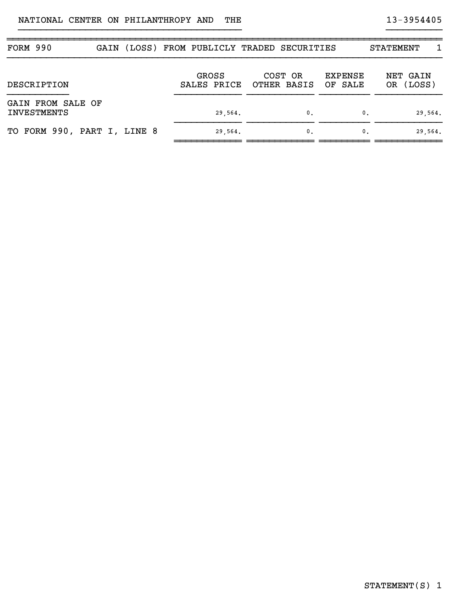| FORM 990                                |  | GAIN (LOSS) FROM PUBLICLY TRADED SECURITIES |                        |                           | 1<br><b>STATEMENT</b> |
|-----------------------------------------|--|---------------------------------------------|------------------------|---------------------------|-----------------------|
| DESCRIPTION                             |  | <b>GROSS</b><br>SALES PRICE                 | COST OR<br>OTHER BASIS | <b>EXPENSE</b><br>OF SALE | NET GAIN<br>OR (LOSS) |
| GAIN FROM SALE OF<br><b>INVESTMENTS</b> |  | 29,564.                                     | 0.                     | 0.                        | 29,564.               |
| TO FORM 990, PART I, LINE 8             |  | 29,564.                                     | $\mathbf{0}$ .         | 0.                        | 29,564.               |

}}}}}}}}}}}}}}}}}}}}}}}}}}}}}}}}}}}}}}}} }}}}}}}}}}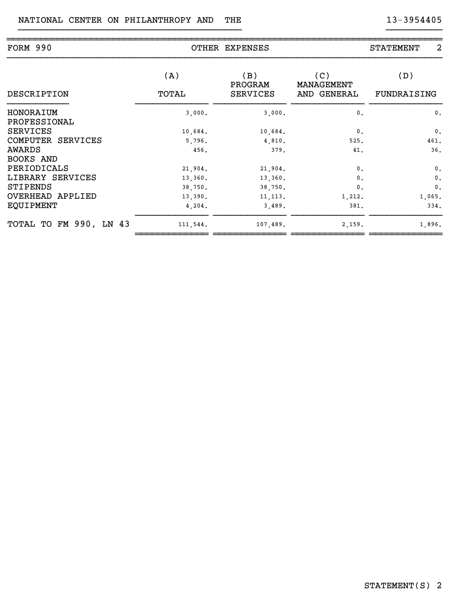| FORM 990                        |              | OTHER EXPENSES                    |                                  | 2<br>STATEMENT     |
|---------------------------------|--------------|-----------------------------------|----------------------------------|--------------------|
| DESCRIPTION                     | (A)<br>TOTAL | (B)<br>PROGRAM<br><b>SERVICES</b> | (C)<br>MANAGEMENT<br>AND GENERAL | (D)<br>FUNDRAISING |
| HONORAIUM                       | 3,000.       | 3,000.                            | $\mathbf{0}$ .                   | $\mathbf{0}$ .     |
| PROFESSIONAL<br><b>SERVICES</b> | 10,684.      | 10,684.                           | $\mathbf{0}$ .                   | $\mathbf{0}$ .     |
| COMPUTER SERVICES               | 5,796.       | 4,810.                            | 525.                             | 461.               |
| AWARDS                          | 456.         | 379.                              | 41.                              | 36.                |
| BOOKS AND                       |              |                                   |                                  |                    |
| PERIODICALS                     | 21,904.      | 21,904.                           | $\mathbf{0}$ .                   | $\mathbf{0}$ .     |
| LIBRARY SERVICES                | 13,360.      | 13,360.                           | 0.                               | $\mathbf{0}$ .     |
| STIPENDS                        | 38,750.      | 38,750.                           | $\mathbf{0}$ .                   | $\mathbf{0}$ .     |
| OVERHEAD APPLIED                | 13,390.      | 11, 113.                          | 1,212.                           | 1,065.             |
| <b>EQUIPMENT</b>                | 4,204.       | 3,489.                            | 381.                             | 334.               |
| TOTAL TO FM 990, LN 43          | 111,544.     | 107,489.                          | 2,159.                           | 1,896.             |

}}}}}}}}}}}}}}}}}}}}}}}}}}}}}}}}}}}}}}}} }}}}}}}}}}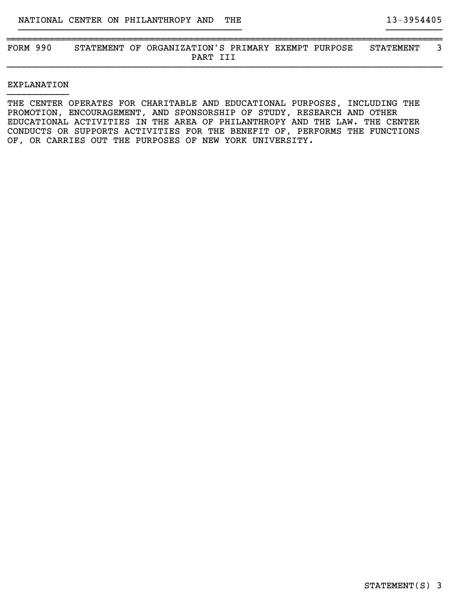~~~~~~~~~~~~~~~~~~~~~~~~~~~~~~~~~~~~~~~~~~~~~~~~~~~~~~~~~~~~~~~~~~~~~~~~~~~~~~ FORM 990 STATEMENT OF ORGANIZATION'S PRIMARY EXEMPT PURPOSE STATEMENT 3 PART III }}}}}}}}}}}}}}}}}}}}}}}}}}}}}}}}}}}}}}}}}}}}}}}}}}}}}}}}}}}}}}}}}}}}}}}}}}}}}}

}}}}}}}}}}}}}}}}}}}}}}}}}}}}}}}}}}}}}}}} }}}}}}}}}}

## EXPLANATION }}}}}}}}}}}

THE CENTER OPERATES FOR CHARITABLE AND EDUCATIONAL PURPOSES, INCLUDING THE PROMOTION, ENCOURAGEMENT, AND SPONSORSHIP OF STUDY, RESEARCH AND OTHER EDUCATIONAL ACTIVITIES IN THE AREA OF PHILANTHROPY AND THE LAW. THE CENTER CONDUCTS OR SUPPORTS ACTIVITIES FOR THE BENEFIT OF, PERFORMS THE FUNCTIONS OF, OR CARRIES OUT THE PURPOSES OF NEW YORK UNIVERSITY.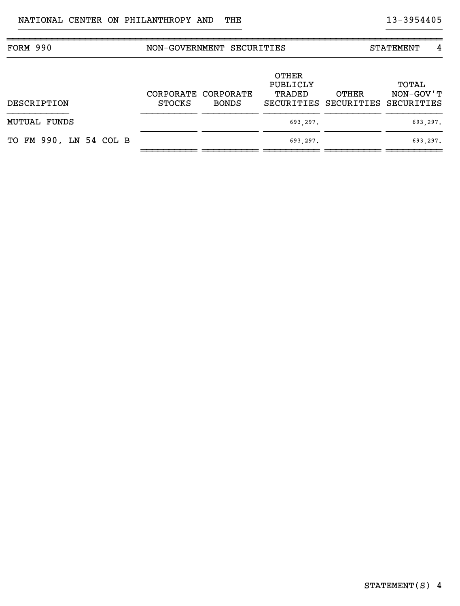| FORM 990               |               | NON-GOVERNMENT SECURITIES           |                                    |                                           | 4<br>STATEMENT     |
|------------------------|---------------|-------------------------------------|------------------------------------|-------------------------------------------|--------------------|
| DESCRIPTION            | <b>STOCKS</b> | CORPORATE CORPORATE<br><b>BONDS</b> | <b>OTHER</b><br>PUBLICLY<br>TRADED | OTHER<br>SECURITIES SECURITIES SECURITIES | TOTAL<br>NON-GOV'T |
| <b>MUTUAL FUNDS</b>    |               |                                     | 693,297.                           |                                           | 693,297.           |
| TO FM 990, LN 54 COL B |               |                                     | 693,297.                           |                                           | 693,297.           |

}}}}}}}}}}}}}}}}}}}}}}}}}}}}}}}}}}}}}}}} }}}}}}}}}}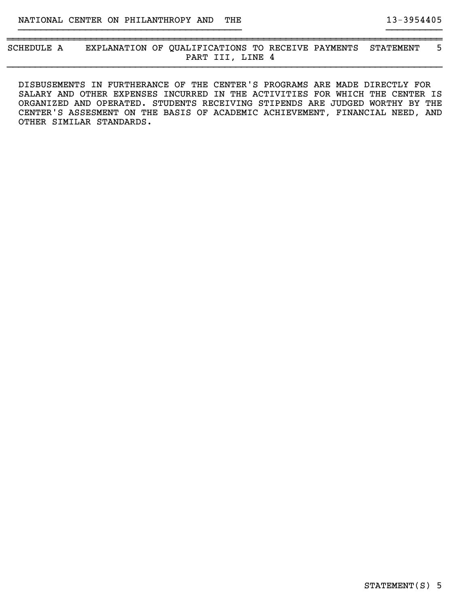~~~~~~~~~~~~~~~~~~~~~~~~~~~~~~~~~~~~~~~~~~~~~~~~~~~~~~~~~~~~~~~~~~~~~~~~~~~~~~ SCHEDULE A EXPLANATION OF QUALIFICATIONS TO RECEIVE PAYMENTS STATEMENT 5 PART III, LINE 4 }}}}}}}}}}}}}}}}}}}}}}}}}}}}}}}}}}}}}}}}}}}}}}}}}}}}}}}}}}}}}}}}}}}}}}}}}}}}}}

}}}}}}}}}}}}}}}}}}}}}}}}}}}}}}}}}}}}}}}} }}}}}}}}}}

DISBUSEMENTS IN FURTHERANCE OF THE CENTER'S PROGRAMS ARE MADE DIRECTLY FOR SALARY AND OTHER EXPENSES INCURRED IN THE ACTIVITIES FOR WHICH THE CENTER IS ORGANIZED AND OPERATED. STUDENTS RECEIVING STIPENDS ARE JUDGED WORTHY BY THE CENTER'S ASSESMENT ON THE BASIS OF ACADEMIC ACHIEVEMENT, FINANCIAL NEED, AND OTHER SIMILAR STANDARDS.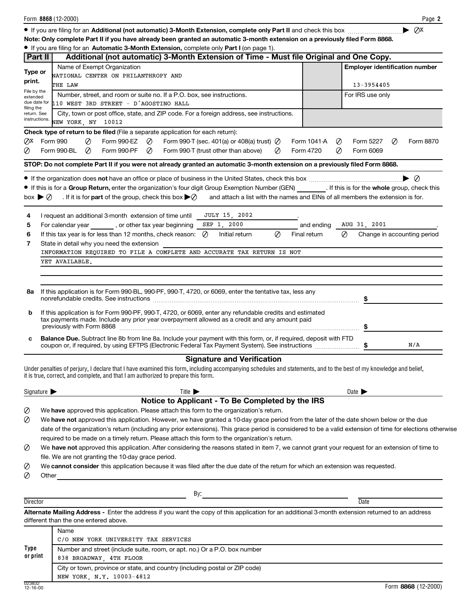|                                   | Form 8868 (12-2000)                                                                                                                                                                                       |                  |                                                  | Page 2                  |
|-----------------------------------|-----------------------------------------------------------------------------------------------------------------------------------------------------------------------------------------------------------|------------------|--------------------------------------------------|-------------------------|
|                                   |                                                                                                                                                                                                           |                  |                                                  | ⊘x                      |
|                                   | Note: Only complete Part II if you have already been granted an automatic 3-month extension on a previously filed Form 8868.                                                                              |                  |                                                  |                         |
|                                   | • If you are filing for an Automatic 3-Month Extension, complete only Part I (on page 1).                                                                                                                 |                  |                                                  |                         |
| Part II                           | Additional (not automatic) 3-Month Extension of Time - Must file Original and One Copy.                                                                                                                   |                  |                                                  |                         |
| Type or                           | Name of Exempt Organization                                                                                                                                                                               |                  | <b>Employer identification number</b>            |                         |
| print.                            | NATIONAL CENTER ON PHILANTHROPY AND                                                                                                                                                                       |                  |                                                  |                         |
| File by the                       | THE LAW                                                                                                                                                                                                   |                  | 13-3954405                                       |                         |
| extended<br>due date for          | Number, street, and room or suite no. If a P.O. box, see instructions.<br>110 WEST 3RD STREET - D'AGOSTINO HALL                                                                                           |                  | For IRS use only                                 |                         |
| filing the<br>return. See         | City, town or post office, state, and ZIP code. For a foreign address, see instructions.                                                                                                                  |                  |                                                  |                         |
| instructions.                     | NEW YORK, NY 10012                                                                                                                                                                                        |                  |                                                  |                         |
|                                   | <b>Check type of return to be filed</b> (File a separate application for each return):                                                                                                                    |                  |                                                  |                         |
| ⊘х                                | Form 990<br>Ø<br>Form 990-EZ<br>Form 990-T (sec. 401(a) or 408(a) trust) $\varnothing$<br>$\varnothing$                                                                                                   | Form 1041-A<br>Ø | Form 5227<br>Ø                                   | Form 8870               |
| Ø                                 | Form 990-BL<br>⊘<br>Form 990-PF<br>Ø<br>Form 990-T (trust other than above)<br>Ø                                                                                                                          | Form 4720<br>Ø   | Form 6069                                        |                         |
|                                   |                                                                                                                                                                                                           |                  |                                                  |                         |
|                                   | STOP: Do not complete Part II if you were not already granted an automatic 3-month extension on a previously filed Form 8868.                                                                             |                  |                                                  |                         |
|                                   |                                                                                                                                                                                                           |                  |                                                  | $\blacktriangleright$ 0 |
|                                   | If this is for a Group Return, enter the organization's four digit Group Exemption Number (GEN) [If this is for the whole group, check this                                                               |                  |                                                  |                         |
| box $\blacktriangleright \oslash$ | and attach a list with the names and EINs of all members the extension is for.<br>. If it is for <b>part</b> of the group, check this box $\blacktriangleright \varnothing$                               |                  |                                                  |                         |
|                                   |                                                                                                                                                                                                           |                  |                                                  |                         |
| 4                                 | JULY 15, 2002<br>I request an additional 3-month extension of time until<br>SEP 1, 2000                                                                                                                   |                  |                                                  |                         |
| 5                                 | For calendar year , or other tax year beginning<br>If this tax year is for less than 12 months, check reason:                                                                                             | and ending       | AUG 31, 2001<br>Ø<br>Change in accounting period |                         |
| 6<br>7                            | Ø<br>Ø<br>Initial return                                                                                                                                                                                  | Final return     |                                                  |                         |
|                                   | State in detail why you need the extension<br>INFORMATION REQUIRED TO FILE A COMPLETE AND ACCURATE TAX RETURN IS NOT                                                                                      |                  |                                                  |                         |
|                                   | YET AVAILABLE.                                                                                                                                                                                            |                  |                                                  |                         |
|                                   |                                                                                                                                                                                                           |                  |                                                  |                         |
|                                   |                                                                                                                                                                                                           |                  |                                                  |                         |
| 8a                                | If this application is for Form 990-BL, 990-PF, 990-T, 4720, or 6069, enter the tentative tax, less any                                                                                                   |                  |                                                  |                         |
|                                   |                                                                                                                                                                                                           |                  |                                                  |                         |
|                                   |                                                                                                                                                                                                           |                  |                                                  |                         |
| b                                 | If this application is for Form 990-PF, 990-T, 4720, or 6069, enter any refundable credits and estimated<br>tax payments made. Include any prior year overpayment allowed as a credit and any amount paid |                  |                                                  |                         |
|                                   | previously with Form 8868                                                                                                                                                                                 |                  |                                                  |                         |
| C                                 | Balance Due. Subtract line 8b from line 8a. Include your payment with this form, or, if required, deposit with FTD                                                                                        |                  |                                                  |                         |
|                                   | coupon or, if required, by using EFTPS (Electronic Federal Tax Payment System). See instructions \$                                                                                                       |                  |                                                  | N/A                     |
|                                   | <b>Signature and Verification</b>                                                                                                                                                                         |                  |                                                  |                         |
|                                   | Under penalties of perjury, I declare that I have examined this form, including accompanying schedules and statements, and to the best of my knowledge and belief,                                        |                  |                                                  |                         |
|                                   | it is true, correct, and complete, and that I am authorized to prepare this form.                                                                                                                         |                  |                                                  |                         |
| Signature $\blacktriangleright$   | Title $\blacktriangleright$                                                                                                                                                                               |                  | Date $\blacktriangleright$                       |                         |
|                                   | Notice to Applicant - To Be Completed by the IRS                                                                                                                                                          |                  |                                                  |                         |
| Ø                                 | We have approved this application. Please attach this form to the organization's return.                                                                                                                  |                  |                                                  |                         |
| Ø                                 | We have not approved this application. However, we have granted a 10-day grace period from the later of the date shown below or the due                                                                   |                  |                                                  |                         |
|                                   | date of the organization's return (including any prior extensions). This grace period is considered to be a valid extension of time for elections otherwise                                               |                  |                                                  |                         |
|                                   | required to be made on a timely return. Please attach this form to the organization's return.                                                                                                             |                  |                                                  |                         |
| Ø                                 | We have not approved this application. After considering the reasons stated in item 7, we cannot grant your request for an extension of time to                                                           |                  |                                                  |                         |
|                                   | file. We are not granting the 10-day grace period.                                                                                                                                                        |                  |                                                  |                         |
| Ø                                 | We cannot consider this application because it was filed after the due date of the return for which an extension was requested.                                                                           |                  |                                                  |                         |
| Ø<br>Other                        |                                                                                                                                                                                                           |                  |                                                  |                         |
|                                   |                                                                                                                                                                                                           |                  |                                                  |                         |
|                                   |                                                                                                                                                                                                           |                  |                                                  |                         |
| Director                          |                                                                                                                                                                                                           |                  | Date                                             |                         |
|                                   | Alternate Mailing Address - Enter the address if you want the copy of this application for an additional 3-month extension returned to an address<br>different than the one entered above.                |                  |                                                  |                         |
|                                   | Name                                                                                                                                                                                                      |                  |                                                  |                         |
|                                   | C/O NEW YORK UNIVERSITY TAX SERVICES                                                                                                                                                                      |                  |                                                  |                         |
| Type                              | Number and street (include suite, room, or apt. no.) Or a P.O. box number                                                                                                                                 |                  |                                                  |                         |
| or print                          | 838 BROADWAY, 4TH FLOOR                                                                                                                                                                                   |                  |                                                  |                         |
|                                   | City or town, province or state, and country (including postal or ZIP code)                                                                                                                               |                  |                                                  |                         |
|                                   | NEW YORK, N.Y. 10003-4812                                                                                                                                                                                 |                  |                                                  |                         |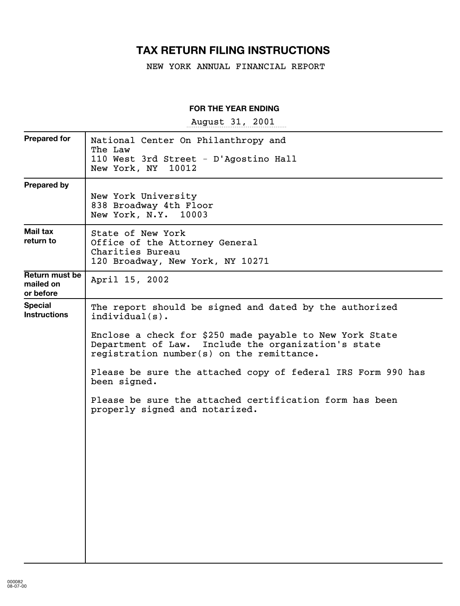## **TAX RETURN FILING INSTRUCTIONS**

NEW YORK ANNUAL FINANCIAL REPORT

## **FOR THE YEAR ENDING**

August 31, 2001

| <b>Prepared for</b>                      | National Center On Philanthropy and<br>The Law<br>110 West 3rd Street - D'Agostino Hall<br>New York, NY 10012                                                                                                                                                                                                                                                                                                           |
|------------------------------------------|-------------------------------------------------------------------------------------------------------------------------------------------------------------------------------------------------------------------------------------------------------------------------------------------------------------------------------------------------------------------------------------------------------------------------|
| <b>Prepared by</b>                       | New York University<br>838 Broadway 4th Floor<br>New York, N.Y. 10003                                                                                                                                                                                                                                                                                                                                                   |
| Mail tax<br>return to                    | State of New York<br>Office of the Attorney General<br>Charities Bureau<br>120 Broadway, New York, NY 10271                                                                                                                                                                                                                                                                                                             |
| Return must be<br>mailed on<br>or before | April 15, 2002                                                                                                                                                                                                                                                                                                                                                                                                          |
| <b>Special</b><br><b>Instructions</b>    | The report should be signed and dated by the authorized<br>$indivial(s)$ .<br>Enclose a check for \$250 made payable to New York State<br>Department of Law. Include the organization's state<br>registration number(s) on the remittance.<br>Please be sure the attached copy of federal IRS Form 990 has<br>been signed.<br>Please be sure the attached certification form has been<br>properly signed and notarized. |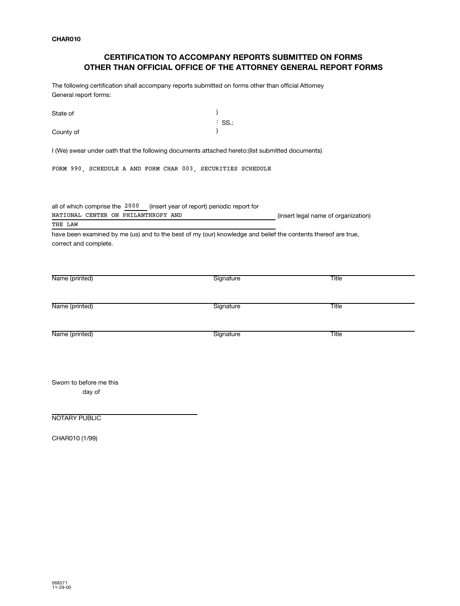## **CERTIFICATION TO ACCOMPANY REPORTS SUBMITTED ON FORMS OTHER THAN OFFICIAL OFFICE OF THE ATTORNEY GENERAL REPORT FORMS**

The following certification shall accompany reports submitted on forms other than official Attorney General report forms:

| State of                                                                                                          | SS.:<br>÷. |                                     |
|-------------------------------------------------------------------------------------------------------------------|------------|-------------------------------------|
| County of                                                                                                         |            |                                     |
| I (We) swear under oath that the following documents attached hereto: (list submitted documents)                  |            |                                     |
| FORM 990, SCHEDULE A AND FORM CHAR 003, SECURITIES SCHEDULE                                                       |            |                                     |
| all of which comprise the 2000 (insert year of report) periodic report for<br>NATIONAL CENTER ON PHILANTHROPY AND |            | (insert legal name of organization) |
| THE LAW                                                                                                           |            |                                     |
| correct and complete.                                                                                             |            |                                     |
| Name (printed)                                                                                                    | Signature  | Title                               |
| Name (printed)                                                                                                    | Signature  | Title                               |
| Name (printed)                                                                                                    | Signature  | <b>Title</b>                        |
| Sworn to before me this<br>day of                                                                                 |            |                                     |

NOTARY PUBLIC

CHAR010 (1/99)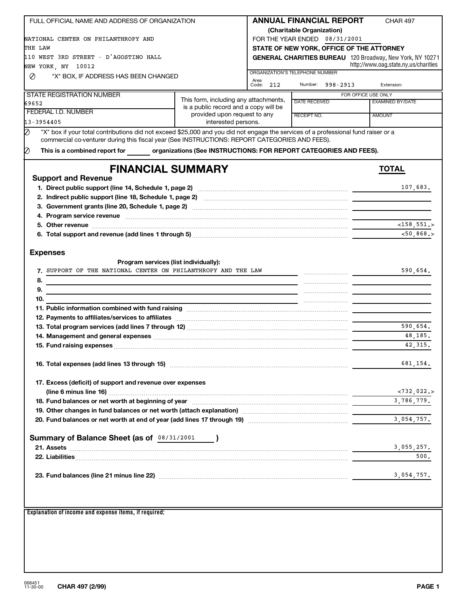| FULL OFFICIAL NAME AND ADDRESS OF ORGANIZATION                                                                                                                                                                                                       |                                                                                | <b>ANNUAL FINANCIAL REPORT</b>          |               |                                               | <b>CHAR 497</b>                                                                                                      |
|------------------------------------------------------------------------------------------------------------------------------------------------------------------------------------------------------------------------------------------------------|--------------------------------------------------------------------------------|-----------------------------------------|---------------|-----------------------------------------------|----------------------------------------------------------------------------------------------------------------------|
|                                                                                                                                                                                                                                                      |                                                                                | (Charitable Organization)               |               |                                               |                                                                                                                      |
| NATIONAL CENTER ON PHILANTHROPY AND                                                                                                                                                                                                                  |                                                                                | FOR THE YEAR ENDED 08/31/2001           |               |                                               |                                                                                                                      |
| THE LAW                                                                                                                                                                                                                                              |                                                                                |                                         |               |                                               | STATE OF NEW YORK, OFFICE OF THE ATTORNEY                                                                            |
| 110 WEST 3RD STREET - D'AGOSTINO HALL                                                                                                                                                                                                                |                                                                                |                                         |               |                                               | <b>GENERAL CHARITIES BUREAU</b> 120 Broadway, New York, NY 10271                                                     |
| NEW YORK, NY 10012                                                                                                                                                                                                                                   |                                                                                |                                         |               |                                               | http://www.oag.state.ny.us/charities                                                                                 |
| Ø<br>"X" BOX, IF ADDRESS HAS BEEN CHANGED                                                                                                                                                                                                            |                                                                                | ORGANIZATION'S TELEPHONE NUMBER<br>Area |               |                                               |                                                                                                                      |
|                                                                                                                                                                                                                                                      |                                                                                | Code:<br>212                            |               | Number: 998-2913                              | Extension:                                                                                                           |
| <b>STATE REGISTRATION NUMBER</b>                                                                                                                                                                                                                     |                                                                                |                                         |               |                                               | FOR OFFICE USE ONLY                                                                                                  |
| 69652                                                                                                                                                                                                                                                | This form, including any attachments,<br>is a public record and a copy will be |                                         | DATE RECEIVED |                                               | <b>EXAMINED BY/DATE</b>                                                                                              |
| FEDERAL I.D. NUMBER                                                                                                                                                                                                                                  | provided upon request to any                                                   |                                         | RECEIPT NO.   |                                               | AMOUNT                                                                                                               |
| 13-3954405                                                                                                                                                                                                                                           | interested persons.                                                            |                                         |               |                                               |                                                                                                                      |
| "X" box if your total contributions did not exceed \$25,000 and you did not engage the services of a professional fund raiser or a                                                                                                                   |                                                                                |                                         |               |                                               |                                                                                                                      |
| commercial co-venturer during this fiscal year (See INSTRUCTIONS: REPORT CATEGORIES AND FEES).<br>Ø<br>This is a combined report for organizations (See INSTRUCTIONS: FOR REPORT CATEGORIES AND FEES).                                               |                                                                                |                                         |               |                                               |                                                                                                                      |
| <b>FINANCIAL SUMMARY</b>                                                                                                                                                                                                                             |                                                                                |                                         |               |                                               | <b>TOTAL</b>                                                                                                         |
| <b>Support and Revenue</b>                                                                                                                                                                                                                           |                                                                                |                                         |               |                                               |                                                                                                                      |
|                                                                                                                                                                                                                                                      |                                                                                |                                         |               |                                               | 107,683.                                                                                                             |
|                                                                                                                                                                                                                                                      |                                                                                |                                         |               |                                               |                                                                                                                      |
|                                                                                                                                                                                                                                                      |                                                                                |                                         |               |                                               |                                                                                                                      |
| 4. Program service revenue www.communication.com/www.communication.com/www.communication.com/www.communication                                                                                                                                       |                                                                                |                                         |               |                                               |                                                                                                                      |
|                                                                                                                                                                                                                                                      |                                                                                |                                         |               |                                               | $<$ 158,551.>                                                                                                        |
| 6. Total support and revenue (add lines 1 through 5) ………………………………………………………………………                                                                                                                                                                     |                                                                                |                                         |               |                                               | $< 50.868$ .                                                                                                         |
|                                                                                                                                                                                                                                                      |                                                                                |                                         |               |                                               |                                                                                                                      |
| <b>Expenses</b>                                                                                                                                                                                                                                      |                                                                                |                                         |               |                                               |                                                                                                                      |
| Program services (list individually):                                                                                                                                                                                                                |                                                                                |                                         |               |                                               |                                                                                                                      |
| 7. SUPPORT OF THE NATIONAL CENTER ON PHILANTHROPY AND THE LAW                                                                                                                                                                                        |                                                                                |                                         |               | <u> 1990 - Johann Amerikaanse Staatsman (</u> | 590,654.                                                                                                             |
| 8.                                                                                                                                                                                                                                                   |                                                                                |                                         |               |                                               |                                                                                                                      |
| <u> 1989 - Jacques Maria de Santa Carlos de Santa Carlos de Santa Carlos de Santa Carlos de Santa Carlos de Santa</u><br>9.<br><u> 1980 - Jan Samuel Barbara, martin da shekara ta 1980 - An tsara tsa 1980 - An tsa 1980 - An tsa 1980 - An tsa</u> |                                                                                |                                         |               |                                               |                                                                                                                      |
| 10.                                                                                                                                                                                                                                                  |                                                                                |                                         |               |                                               | <u> 1990 - Jan James James James James James James James James James James James James James James James James J</u> |
|                                                                                                                                                                                                                                                      |                                                                                |                                         |               |                                               |                                                                                                                      |
|                                                                                                                                                                                                                                                      |                                                                                |                                         |               |                                               |                                                                                                                      |
|                                                                                                                                                                                                                                                      |                                                                                |                                         |               |                                               | 590.654.                                                                                                             |
|                                                                                                                                                                                                                                                      |                                                                                |                                         |               |                                               | 48,185.                                                                                                              |
| 15. Fund raising expenses <b>Commission Commission Commission</b> Commission Commission Commission                                                                                                                                                   |                                                                                |                                         |               |                                               | 42.315.                                                                                                              |
|                                                                                                                                                                                                                                                      |                                                                                |                                         |               |                                               |                                                                                                                      |
|                                                                                                                                                                                                                                                      |                                                                                |                                         |               |                                               | 681,154.                                                                                                             |
|                                                                                                                                                                                                                                                      |                                                                                |                                         |               |                                               |                                                                                                                      |
| 17. Excess (deficit) of support and revenue over expenses                                                                                                                                                                                            |                                                                                |                                         |               |                                               |                                                                                                                      |
| (line 6 minus line 16) <b>2006</b> 10 minus line 16) <b>2006</b> 10 minus and the sense of the sense of the sense of the sense of the sense of the sense of the sense of the sense of the sense of the sense of the sense of the sense o             |                                                                                |                                         |               |                                               | < 732.022.                                                                                                           |
| 18. Fund balances or net worth at beginning of year manufactured contained and contained and contained and the                                                                                                                                       |                                                                                |                                         |               |                                               | 3,786,779.                                                                                                           |
| 19. Other changes in fund balances or net worth (attach explanation) manufactured content content of the content                                                                                                                                     |                                                                                |                                         |               |                                               |                                                                                                                      |
| 20. Fund balances or net worth at end of year (add lines 17 through 19) manual content content content content                                                                                                                                       |                                                                                |                                         |               |                                               | 3,054,757.                                                                                                           |
|                                                                                                                                                                                                                                                      |                                                                                |                                         |               |                                               |                                                                                                                      |
| Summary of Balance Sheet (as of 08/31/2001 )                                                                                                                                                                                                         |                                                                                |                                         |               |                                               |                                                                                                                      |
|                                                                                                                                                                                                                                                      |                                                                                |                                         |               |                                               | 3,055,257.                                                                                                           |
|                                                                                                                                                                                                                                                      |                                                                                |                                         |               |                                               | 500.                                                                                                                 |
|                                                                                                                                                                                                                                                      |                                                                                |                                         |               |                                               |                                                                                                                      |
| 23. Fund balances (line 21 minus line 22) www.communically.community.community.community.community.com                                                                                                                                               |                                                                                |                                         |               |                                               | 3,054,757.                                                                                                           |
|                                                                                                                                                                                                                                                      |                                                                                |                                         |               |                                               |                                                                                                                      |
|                                                                                                                                                                                                                                                      |                                                                                |                                         |               |                                               |                                                                                                                      |
|                                                                                                                                                                                                                                                      |                                                                                |                                         |               |                                               |                                                                                                                      |
| Explanation of income and expense items, if required:                                                                                                                                                                                                |                                                                                |                                         |               |                                               |                                                                                                                      |
|                                                                                                                                                                                                                                                      |                                                                                |                                         |               |                                               |                                                                                                                      |
|                                                                                                                                                                                                                                                      |                                                                                |                                         |               |                                               |                                                                                                                      |
|                                                                                                                                                                                                                                                      |                                                                                |                                         |               |                                               |                                                                                                                      |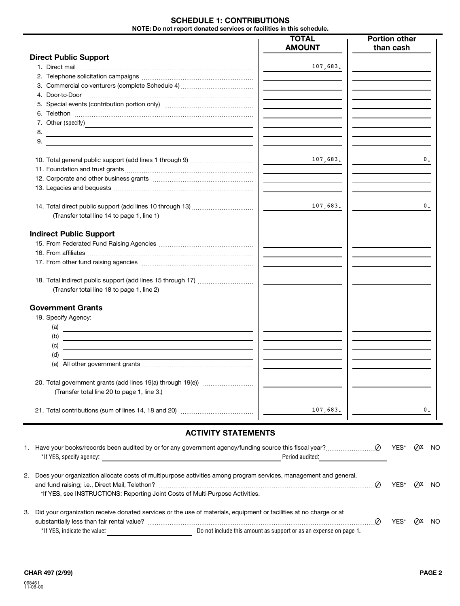## **SCHEDULE 1: CONTRIBUTIONS NOTE: Do not report donated services or facilities in this schedule.**

|                                                                                                                                  | <b>TOTAL</b>                                        | <b>Portion other</b> |
|----------------------------------------------------------------------------------------------------------------------------------|-----------------------------------------------------|----------------------|
|                                                                                                                                  | <b>AMOUNT</b>                                       | than cash            |
| <b>Direct Public Support</b>                                                                                                     |                                                     |                      |
|                                                                                                                                  | 107,683.                                            |                      |
|                                                                                                                                  |                                                     |                      |
|                                                                                                                                  |                                                     |                      |
|                                                                                                                                  |                                                     |                      |
|                                                                                                                                  |                                                     |                      |
|                                                                                                                                  |                                                     |                      |
|                                                                                                                                  |                                                     |                      |
| 8.<br><u> Antonio Alemania de San Antonio de Antonio de Antonio de Antonio de Antonio de Antonio de Antonio de Antonio</u><br>9. |                                                     |                      |
|                                                                                                                                  |                                                     | 0.                   |
| 10. Total general public support (add lines 1 through 9) <i></i>                                                                 | 107,683.                                            |                      |
|                                                                                                                                  |                                                     |                      |
|                                                                                                                                  |                                                     |                      |
|                                                                                                                                  |                                                     |                      |
|                                                                                                                                  | 107,683.                                            | 0.                   |
| (Transfer total line 14 to page 1, line 1)                                                                                       |                                                     |                      |
| <b>Indirect Public Support</b>                                                                                                   |                                                     |                      |
|                                                                                                                                  |                                                     |                      |
|                                                                                                                                  |                                                     |                      |
|                                                                                                                                  |                                                     |                      |
|                                                                                                                                  |                                                     |                      |
|                                                                                                                                  |                                                     |                      |
| (Transfer total line 18 to page 1, line 2)                                                                                       |                                                     |                      |
| <b>Government Grants</b>                                                                                                         |                                                     |                      |
| 19. Specify Agency:                                                                                                              |                                                     |                      |
| (a) $\qquad \qquad$                                                                                                              |                                                     |                      |
| (b)<br><u> Alexandria de la contrada de la contrada de la contrada de la contrada de la contrada de la contrada de la c</u>      |                                                     |                      |
| (c)<br>and the control of the control of the control of the control of the control of the control of the control of the          |                                                     |                      |
| (d)<br><u> 1980 - Andrea Andrew Maria (h. 1980).</u>                                                                             |                                                     |                      |
|                                                                                                                                  |                                                     |                      |
|                                                                                                                                  |                                                     |                      |
| (Transfer total line 20 to page 1, line 3.)                                                                                      |                                                     |                      |
|                                                                                                                                  |                                                     |                      |
|                                                                                                                                  | 107,683.                                            | 0.                   |
|                                                                                                                                  |                                                     |                      |
| <b>ACTIVITY STATEMENTS</b>                                                                                                       |                                                     |                      |
|                                                                                                                                  |                                                     | $QX$ NO              |
|                                                                                                                                  | Period audited: <b>Period</b> and <b>Example 20</b> |                      |
| 2. Does your organization allocate costs of multipurpose activities among program services, management and general,              |                                                     | YES*<br>$QX$ NO      |
| *If YES, see INSTRUCTIONS: Reporting Joint Costs of Multi-Purpose Activities.                                                    |                                                     |                      |
| Did vous examization receive denated services or the use of materials, equipment or facilities at no charge or at                |                                                     |                      |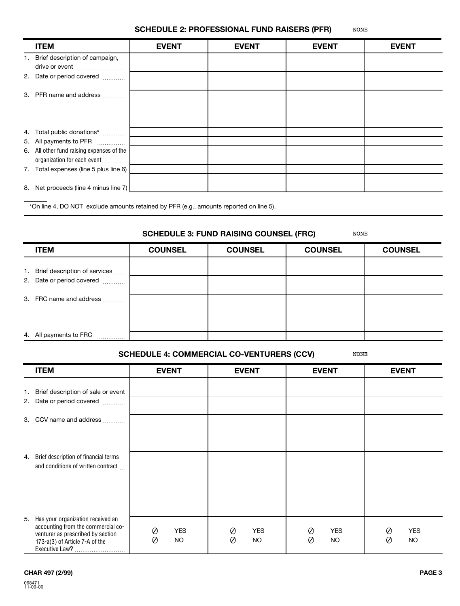#### **SCHEDULE 2: PROFESSIONAL FUND RAISERS (PFR)** NONE

| <b>ITEM</b>                                                              | <b>EVENT</b> | <b>EVENT</b> | <b>EVENT</b> | <b>EVENT</b> |
|--------------------------------------------------------------------------|--------------|--------------|--------------|--------------|
| 1. Brief description of campaign,<br>drive or event                      |              |              |              |              |
| 2. Date or period covered                                                |              |              |              |              |
| 3. PFR name and address                                                  |              |              |              |              |
| 4. Total public donations*                                               |              |              |              |              |
| 5. All payments to PFR                                                   |              |              |              |              |
| 6. All other fund raising expenses of the<br>organization for each event |              |              |              |              |
| 7. Total expenses (line 5 plus line 6)                                   |              |              |              |              |
| 8. Net proceeds (line 4 minus line 7)                                    |              |              |              |              |

\*On line 4, DO NOT exclude amounts retained by PFR (e.g., amounts reported on line 5).

## **SCHEDULE 3: FUND RAISING COUNSEL (FRC)**

NONE

| <b>ITEM</b>                      | <b>COUNSEL</b> | <b>COUNSEL</b> | <b>COUNSEL</b> | <b>COUNSEL</b> |
|----------------------------------|----------------|----------------|----------------|----------------|
| 1. Brief description of services |                |                |                |                |
| 2. Date or period covered        |                |                |                |                |
| 3. FRC name and address          |                |                |                |                |
| 4. All payments to FRC<br>.      |                |                |                |                |

### **SCHEDULE 4: COMMERCIAL CO-VENTURERS (CCV)** NONE

|          | <b>ITEM</b>                                                                                                                                    | <b>EVENT</b>                                      | <b>EVENT</b>                      | <b>EVENT</b>                              | <b>EVENT</b>                |
|----------|------------------------------------------------------------------------------------------------------------------------------------------------|---------------------------------------------------|-----------------------------------|-------------------------------------------|-----------------------------|
| 1.<br>2. | Brief description of sale or event<br>Date or period covered                                                                                   |                                                   |                                   |                                           |                             |
|          | 3. CCV name and address                                                                                                                        |                                                   |                                   |                                           |                             |
| 4.       | Brief description of financial terms<br>and conditions of written contract                                                                     |                                                   |                                   |                                           |                             |
| 5.       | Has your organization received an<br>accounting from the commercial co-<br>venturer as prescribed by section<br>173-a(3) of Article 7-A of the | $\oslash$<br><b>YES</b><br>$\oslash$<br><b>NO</b> | <b>YES</b><br>Ø<br>Ø<br><b>NO</b> | <b>YES</b><br>Ø<br>$\oslash$<br><b>NO</b> | <b>YES</b><br>Ø<br>Ø<br>NO. |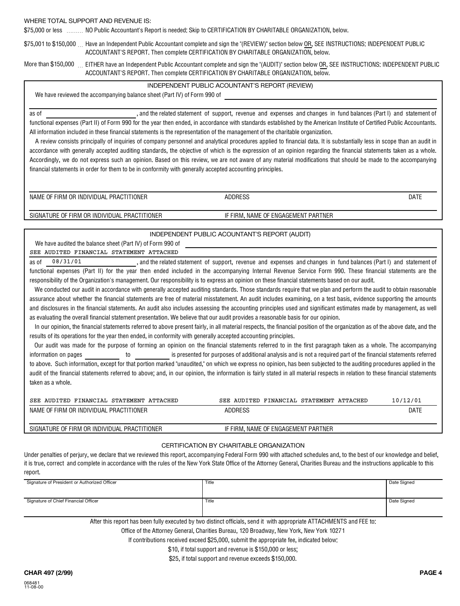### WHERE TOTAL SUPPORT AND REVENUE IS:

\$75,000 or less NO Public Accountant's Report is needed: Skip to CERTIFICATION BY CHARITABLE ORGANIZATION, below.

\$75,001 to \$150,000 … Have an Independent Public Accountant complete and sign the "(REVIEW)" section below <u>OR</u>, SEE INSTRUCTIONS: INDEPENDENT PUBLIC ACCOUNTANT'S REPORT. Then complete CERTIFICATION BY CHARITABLE ORGANIZATION, below.

More than \$150,000 EITHER have an Independent Public Accountant complete and sign the "(AUDIT)" section below OR, SEE INSTRUCTIONS: INDEPENDENT PUBLIC ACCOUNTANT'S REPORT. Then complete CERTIFICATION BY CHARITABLE ORGANIZATION, below.

### INDEPENDENT PUBLIC ACOUNTANT'S REPORT (REVIEW)

We have reviewed the accompanying balance sheet (Part IV) of Form 990 of

as of experience in and the related statement of support, revenue and expenses and changes in fund balances (Part I) and statement of functional expenses (Part II) of Form 990 for the year then ended, in accordance with standards established by the American Institute of Certified Public Accountants. All information included in these financial statements is the representation of the management of the charitable organization.

A review consists principally of inquiries of company personnel and analytical procedures applied to financial data. It is substantially less in scope than an audit in accordance with generally accepted auditing standards, the objective of which is the expression of an opinion regarding the financial statements taken as a whole. Accordingly, we do not express such an opinion. Based on this review, we are not aware of any material modifications that should be made to the accompanying financial statements in order for them to be in conformity with generally accepted accounting principles.

NAME OF FIRM OR INDIVIDUAL PRACTITIONER

ADDRESS

SIGNATURE OF FIRM OR INDIVIDUAL PRACTITIONER

## INDEPENDENT PUBLIC ACOUNTANT'S REPORT (AUDIT)

IF FIRM, NAME OF ENGAGEMENT PARTNER

We have audited the balance sheet (Part IV) of Form 990 of

### SEE AUDITED FINANCIAL STATEMENT ATTACHED

as of 08/31/01 and the related statement of support, revenue and expenses and changes in fund balances (Part I) and statement of functional expenses (Part II) for the year then ended included in the accompanying Internal Revenue Service Form 990. These financial statements are the responsibility of the Organization's management. Our responsibility is to express an opinion on these financial statements based on our audit. 08/31/01

We conducted our audit in accordance with generally accepted auditing standards. Those standards require that we plan and perform the audit to obtain reasonable assurance about whether the financial statements are free of material misstatement. An audit includes examining, on a test basis, evidence supporting the amounts and disclosures in the financial statements. An audit also includes assessing the accounting principles used and significant estimates made by management, as well as evaluating the overall financial statement presentation. We believe that our audit provides a reasonable basis for our opinion.

In our opinion, the financial statements referred to above present fairly, in all material respects, the financial position of the organization as of the above date, and the results of its operations for the year then ended, in conformity with generally accepted accounting principles.

Our audit was made for the purpose of forming an opinion on the financial statements referred to in the first paragraph taken as a whole. The accompanying information on pages **the interpretation** is presented for purposes of additional analysis and is not a required part of the financial statements referred to above. Such information, except for that portion marked "unaudited," on which we express no opinion, has been subjected to the auditing procedures applied in the audit of the financial statements referred to above; and, in our opinion, the information is fairly stated in all material respects in relation to these financial statements taken as a whole.

| SEE AUDITED FINANCIAL STATEMENT ATTACHED     | SEE AUDITED FINANCIAL STATEMENT ATTACHED | 10/12/01 |
|----------------------------------------------|------------------------------------------|----------|
| NAME OF FIRM OR INDIVIDUAL PRACTITIONER      | <b>ADDRESS</b>                           | DATE     |
|                                              |                                          |          |
| SIGNATURE OF FIRM OR INDIVIDUAL PRACTITIONER | IF FIRM. NAME OF ENGAGEMENT PARTNER      |          |

### CERTIFICATION BY CHARITABLE ORGANIZATION

Under penalties of perjury, we declare that we reviewed this report, accompanying Federal Form 990 with attached schedules and, to the best of our knowledge and belief, it is true, correct and complete in accordance with the rules of the New York State Office of the Attorney General, Charities Bureau and the instructions applicable to this report.

| Signature of President or Authorized Officer                                                                             | Title | Date Signed |  |  |  |
|--------------------------------------------------------------------------------------------------------------------------|-------|-------------|--|--|--|
|                                                                                                                          |       |             |  |  |  |
|                                                                                                                          |       |             |  |  |  |
| Signature of Chief Financial Officer                                                                                     | Title | Date Signed |  |  |  |
|                                                                                                                          |       |             |  |  |  |
|                                                                                                                          |       |             |  |  |  |
| After this report has been fully concented bu turn distinct efficiels, send it with concenciate ATTAQUMENTO and EEE to a |       |             |  |  |  |

After this report has been fully executed by two distinct officials, send it with appropriate ATTACHMENTS and FEE to:

Office of the Attorney General, Charities Bureau, 120 Broadway, New York, New York 10271

If contributions received exceed \$25,000, submit the appropriate fee, indicated below:

\$10, if total support and revenue is \$150,000 or less;

\$25, if total support and revenue exceeds \$150,000.

DATE